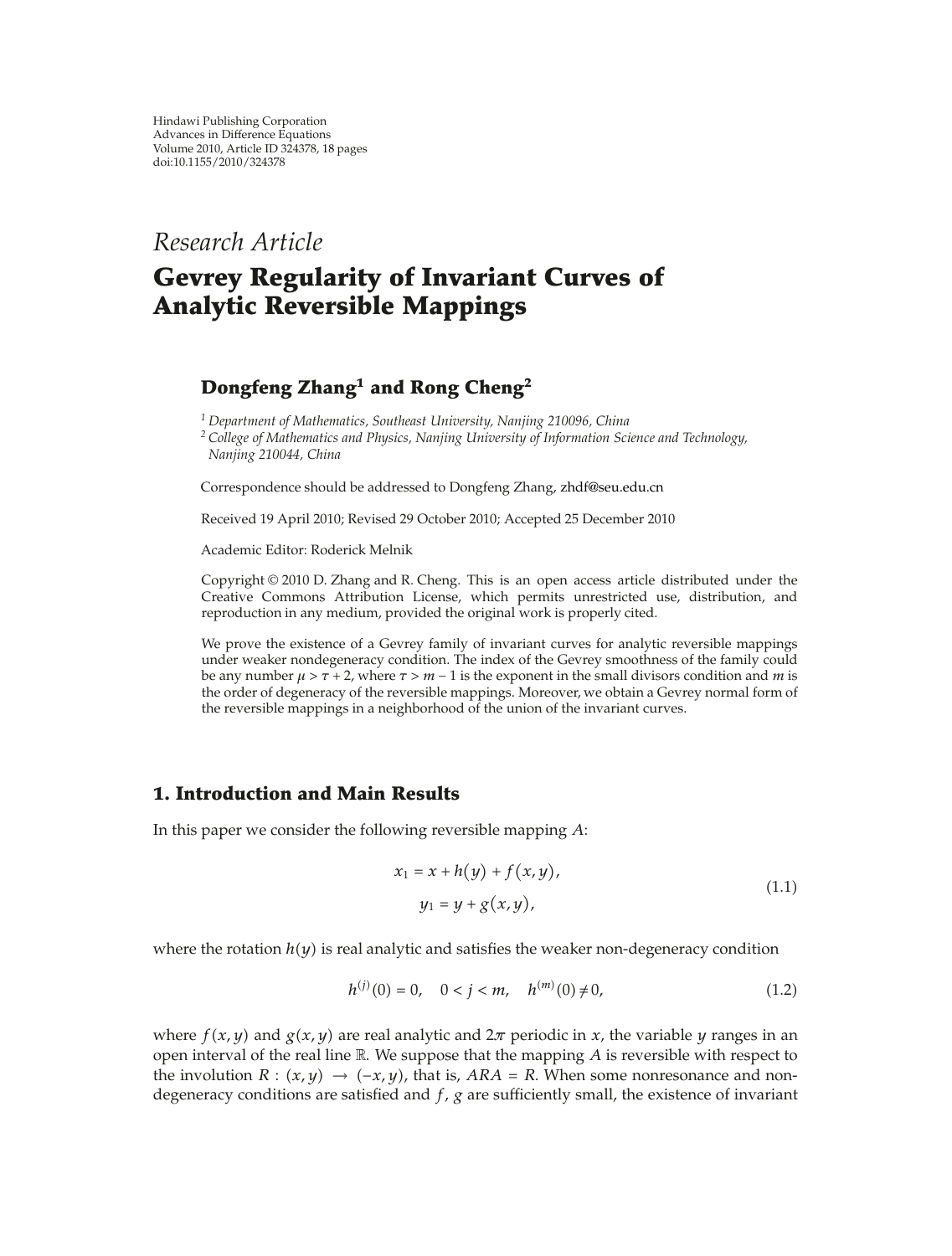*Research Article*

# **Gevrey Regularity of Invariant Curves of Analytic Reversible Mappings**

## **Dongfeng Zhang1 and Rong Cheng2**

*<sup>1</sup> Department of Mathematics, Southeast University, Nanjing 210096, China*

*<sup>2</sup> College of Mathematics and Physics, Nanjing University of Information Science and Technology, Nanjing 210044, China*

Correspondence should be addressed to Dongfeng Zhang, zhdf@seu.edu.cn

Received 19 April 2010; Revised 29 October 2010; Accepted 25 December 2010

Academic Editor: Roderick Melnik

Copyright  $@ 2010$  D. Zhang and R. Cheng. This is an open access article distributed under the Creative Commons Attribution License, which permits unrestricted use, distribution, and reproduction in any medium, provided the original work is properly cited.

We prove the existence of a Gevrey family of invariant curves for analytic reversible mappings under weaker nondegeneracy condition. The index of the Gevrey smoothness of the family could be any number  $\mu > \tau + 2$ , where  $\tau > m - 1$  is the exponent in the small divisors condition and *m* is the order of degeneracy of the reversible mappings. Moreover, we obtain a Gevrey normal form of the reversible mappings in a neighborhood of the union of the invariant curves.

## **1. Introduction and Main Results**

In this paper we consider the following reversible mapping *A*:

$$
x_1 = x + h(y) + f(x, y),
$$
  
\n
$$
y_1 = y + g(x, y),
$$
\n(1.1)

where the rotation  $h(y)$  is real analytic and satisfies the weaker non-degeneracy condition

$$
h^{(j)}(0) = 0, \quad 0 < j < m, \quad h^{(m)}(0) \neq 0,\tag{1.2}
$$

where  $f(x, y)$  and  $g(x, y)$  are real analytic and  $2\pi$  periodic in *x*, the variable *y* ranges in an open interval of the real line  $\mathbb R$ . We suppose that the mapping  $A$  is reversible with respect to the involution  $R : (x, y) \rightarrow (-x, y)$ , that is,  $ARA = R$ . When some nonresonance and nondegeneracy conditions are satisfied and *f*, *g* are sufficiently small, the existence of invariant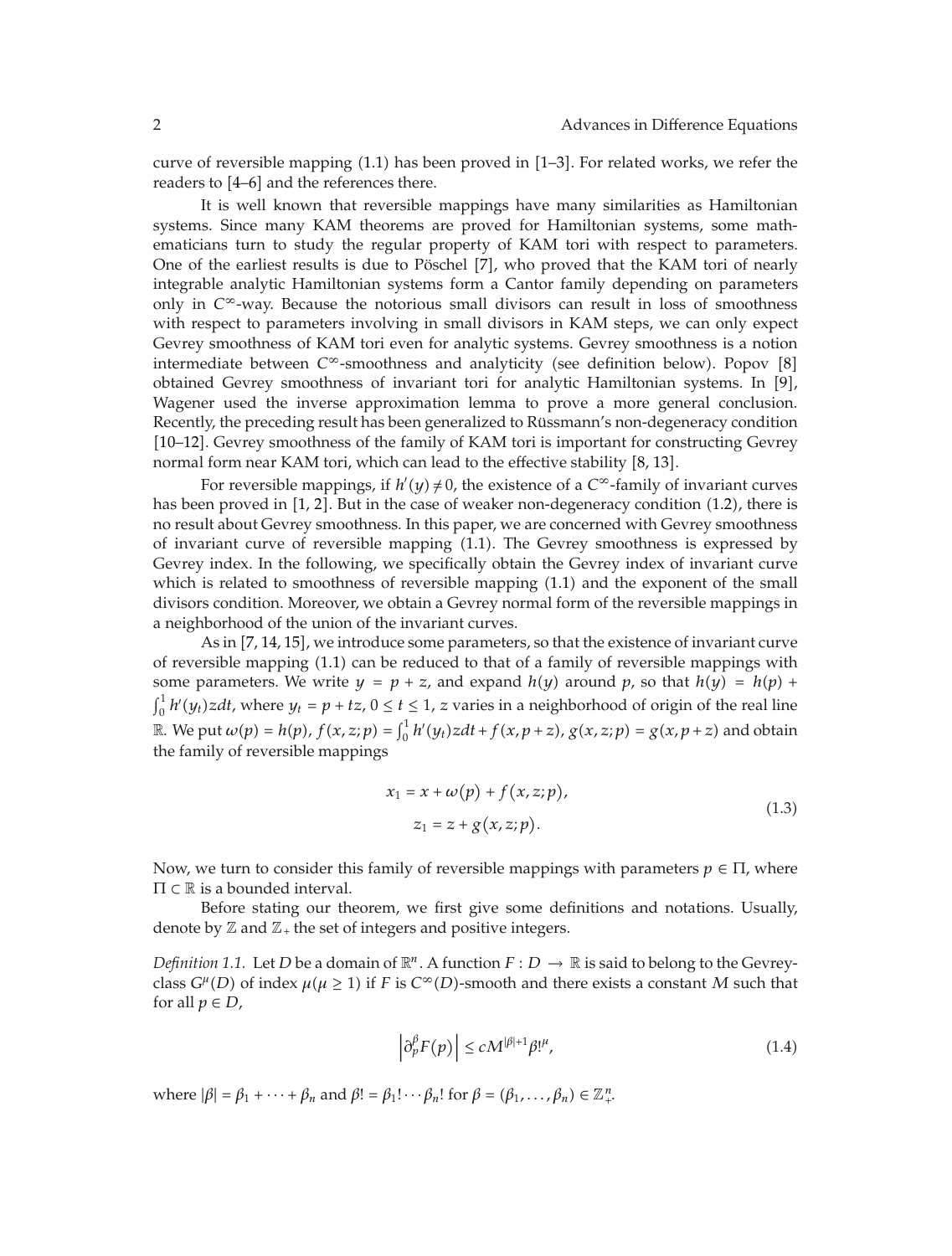curve of reversible mapping  $(1.1)$  has been proved in  $[1-3]$ . For related works, we refer the readers to  $[4-6]$  and the references there.

It is well known that reversible mappings have many similarities as Hamiltonian systems. Since many KAM theorems are proved for Hamiltonian systems, some mathematicians turn to study the regular property of KAM tori with respect to parameters. One of the earliest results is due to Pöschel [7], who proved that the KAM tori of nearly integrable analytic Hamiltonian systems form a Cantor family depending on parameters only in  $C^{\infty}$ -way. Because the notorious small divisors can result in loss of smoothness with respect to parameters involving in small divisors in KAM steps, we can only expect Gevrey smoothness of KAM tori even for analytic systems. Gevrey smoothness is a notion intermediate between  $C^{\infty}$ -smoothness and analyticity (see definition below). Popov [8] obtained Gevrey smoothness of invariant tori for analytic Hamiltonian systems. In  $[9]$ , Wagener used the inverse approximation lemma to prove a more general conclusion. Recently, the preceding result has been generalized to Rüssmann's non-degeneracy condition [10–12]. Gevrey smoothness of the family of KAM tori is important for constructing Gevrey normal form near KAM tori, which can lead to the effective stability [8, 13].

For reversible mappings, if  $h'(y) \neq 0$ , the existence of a  $C^{\infty}$ -family of invariant curves has been proved in  $[1, 2]$ . But in the case of weaker non-degeneracy condition  $(1.2)$ , there is no result about Gevrey smoothness. In this paper, we are concerned with Gevrey smoothness of invariant curve of reversible mapping 1.1. The Gevrey smoothness is expressed by Gevrey index. In the following, we specifically obtain the Gevrey index of invariant curve which is related to smoothness of reversible mapping (1.1) and the exponent of the small divisors condition. Moreover, we obtain a Gevrey normal form of the reversible mappings in a neighborhood of the union of the invariant curves.

As in  $[7, 14, 15]$ , we introduce some parameters, so that the existence of invariant curve of reversible mapping (1.1) can be reduced to that of a family of reversible mappings with some parameters. We write  $y = p + z$ , and expand  $h(y)$  around p, so that  $h(y) = h(p) + z$  $\int_0^1 h'(y_t) z dt$ , where  $y_t = p + tz$ ,  $0 \le t \le 1$ , *z* varies in a neighborhood of origin of the real line  $\mathbb{R}.$  We put  $\omega(p) = h(p)$ ,  $f(x, z; p) = \int_0^1 h'(y_t)zdt + f(x, p+z)$ ,  $g(x, z; p) = g(x, p+z)$  and obtain the family of reversible mappings

$$
x_1 = x + \omega(p) + f(x, z; p),
$$
  
\n
$$
z_1 = z + g(x, z; p).
$$
\n(1.3)

Now, we turn to consider this family of reversible mappings with parameters  $p \in \Pi$ , where  $\Pi \subset \mathbb{R}$  is a bounded interval.

Before stating our theorem, we first give some definitions and notations. Usually, denote by  $\mathbb Z$  and  $\mathbb Z_+$  the set of integers and positive integers.

*Definition 1.1.* Let *D* be a domain of  $\mathbb{R}^n$ . A function  $F: D \to \mathbb{R}$  is said to belong to the Gevreyclass  $G^{\mu}(D)$  of index  $\mu(\mu \ge 1)$  if *F* is  $C^{\infty}(D)$ -smooth and there exists a constant *M* such that for all  $p \in D$ ,

$$
\left|\partial_p^{\beta} F(p)\right| \le c M^{|\beta|+1} \beta!^{\mu},\tag{1.4}
$$

where  $|\beta| = \beta_1 + \cdots + \beta_n$  and  $\beta! = \beta_1! \cdots \beta_n!$  for  $\beta = (\beta_1, \dots, \beta_n) \in \mathbb{Z}_+^n$ .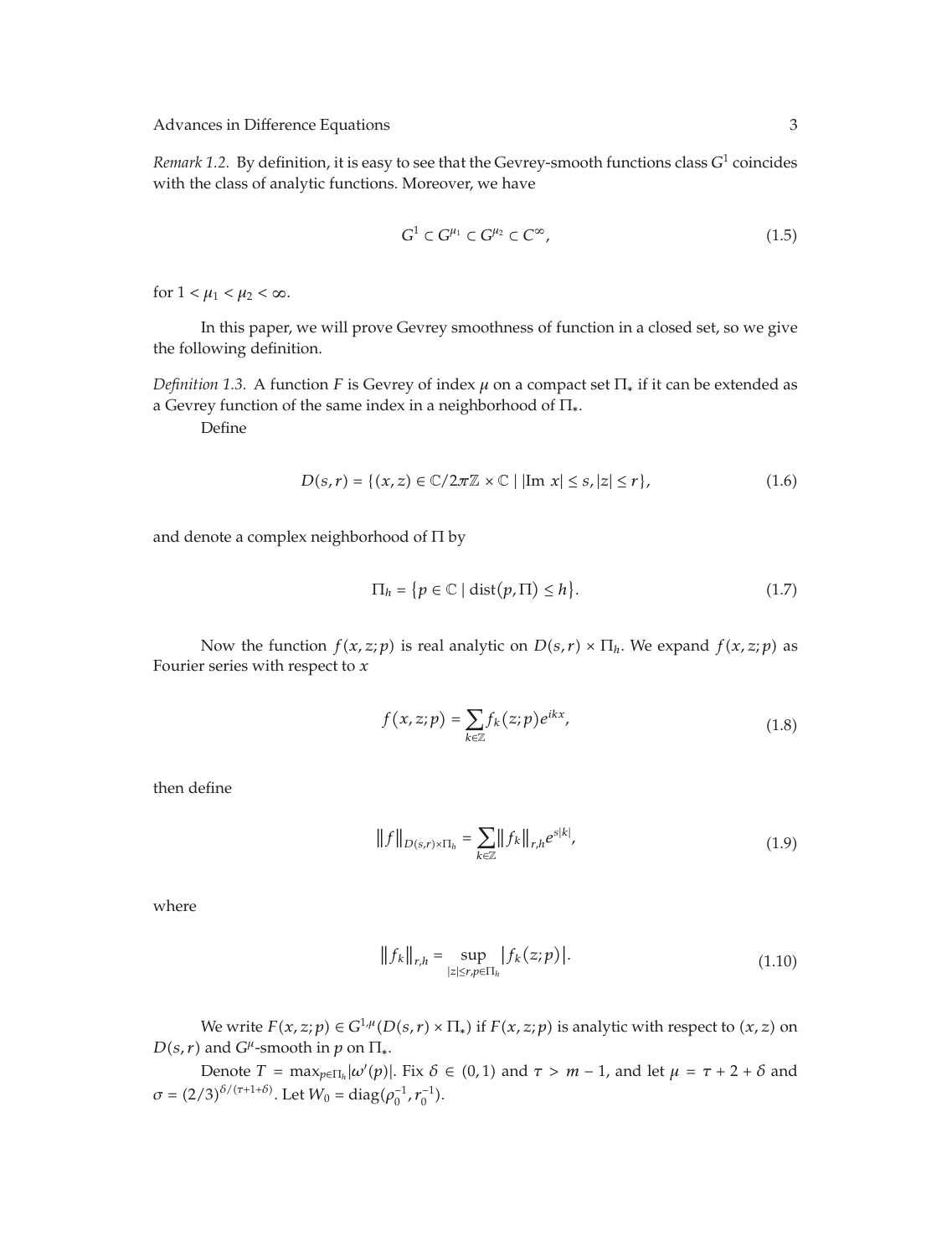*Remark 1.2.* By definition, it is easy to see that the Gevrey-smooth functions class *G*<sup>1</sup> coincides with the class of analytic functions. Moreover, we have

$$
G^1 \subset G^{\mu_1} \subset G^{\mu_2} \subset C^{\infty},\tag{1.5}
$$

for  $1 < \mu_1 < \mu_2 < \infty$ .

In this paper, we will prove Gevrey smoothness of function in a closed set, so we give the following definition.

*Definition 1.3.* A function *F* is Gevrey of index *μ* on a compact set  $\Pi_*$  if it can be extended as a Gevrey function of the same index in a neighborhood of  $\Pi_*$ .

Define

$$
D(s,r) = \{(x,z) \in \mathbb{C}/2\pi\mathbb{Z} \times \mathbb{C} \mid |\text{Im } x| \le s, |z| \le r\},\tag{1.6}
$$

and denote a complex neighborhood of Π by

$$
\Pi_h = \{ p \in \mathbb{C} \mid \text{dist}(p, \Pi) \le h \}. \tag{1.7}
$$

Now the function  $f(x, z; p)$  is real analytic on  $D(s, r) \times \Pi_h$ . We expand  $f(x, z; p)$  as Fourier series with respect to *x*

$$
f(x, z; p) = \sum_{k \in \mathbb{Z}} f_k(z; p) e^{ikx}, \qquad (1.8)
$$

then define

$$
||f||_{D(s,r)\times\Pi_h} = \sum_{k\in\mathbb{Z}} ||f_k||_{r,h} e^{s|k|},
$$
\n(1.9)

where

$$
||f_k||_{r,h} = \sup_{|z| \le r, p \in \Pi_h} |f_k(z;p)|.
$$
 (1.10)

We write  $F(x, z; p) \in G^{1,\mu}(D(s,r) \times \Pi_*)$  if  $F(x, z; p)$  is analytic with respect to  $(x, z)$  on  $D(s, r)$  and  $G^{\mu}$ -smooth in *p* on  $\Pi_*$ .

Denote  $T = \max_{p \in \Pi_h} |\omega'(p)|$ . Fix  $\delta \in (0,1)$  and  $\tau > m-1$ , and let  $\mu = \tau + 2 + \delta$  and  $\sigma = (2/3)^{\delta/(r+1+\delta)}$ . Let  $W_0 = \text{diag}(\rho_0^{-1}, r_0^{-1})$ .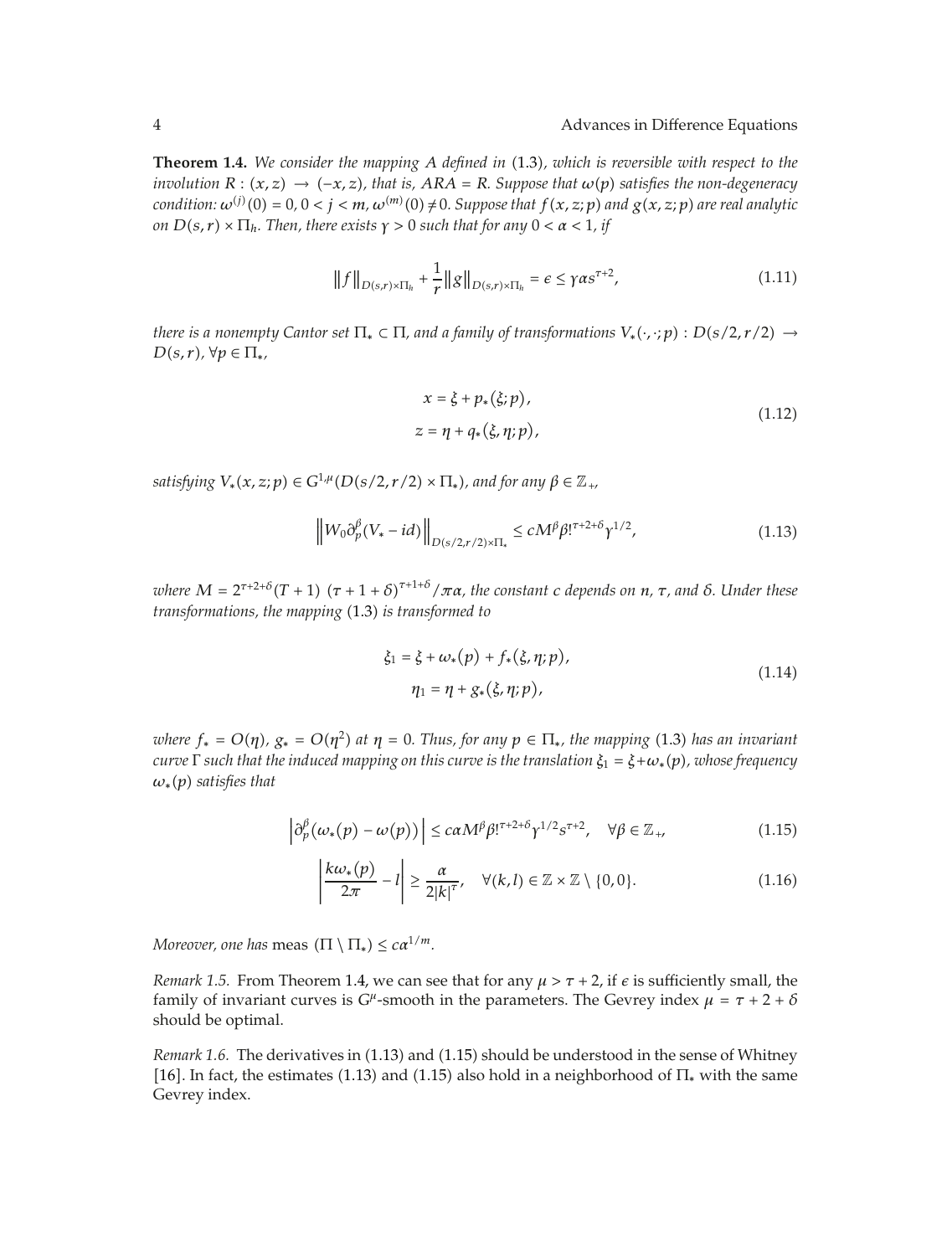**Theorem 1.4.** *We consider the mapping A defined in* 1.3*, which is reversible with respect to the involution*  $R : (x, z) \rightarrow (-x, z)$ , that is,  $ARA = R$ . Suppose that  $\omega(p)$  satisfies the non-degeneracy  $condition: \omega^{(j)}(0) = 0, 0 < j < m, \omega^{(m)}(0) \neq 0.$  Suppose that  $f(x, z; p)$  and  $g(x, z; p)$  are real analytic *on*  $D(s, r) \times \prod_h$ *. Then, there exists*  $\gamma > 0$  *such that for any*  $0 < \alpha < 1$ *, if* 

$$
||f||_{D(s,r)\times\Pi_h} + \frac{1}{r}||g||_{D(s,r)\times\Pi_h} = \epsilon \leq \gamma \alpha s^{\tau+2},
$$
\n(1.11)

*there is a nonempty Cantor set*  $\Pi_* \subset \Pi$ *, and a family of transformations*  $V_*(\cdot, \cdot; p) : D(s/2, r/2) \rightarrow$  $D(s,r)$ ,  $\forall p \in \Pi_*,$ 

$$
x = \xi + p_*(\xi; p),
$$
  
\n
$$
z = \eta + q_*(\xi, \eta; p),
$$
\n(1.12)

*satisfying*  $V_*(x, z; p) \in G^{1,\mu}(D(s/2, r/2) \times \Pi_*)$ , and for any  $\beta \in \mathbb{Z}_+$ ,

$$
\left\|W_0\partial_p^{\beta}(V_* - id)\right\|_{D(s/2,r/2)\times\Pi_*} \le cM^{\beta}\beta!^{r+2+\delta}\gamma^{1/2},\tag{1.13}
$$

*where*  $M = 2^{\tau+2+\delta}(T+1)$   $(\tau+1+\delta)^{\tau+1+\delta}/\pi\alpha$ , the constant c depends on  $n$ ,  $\tau$ , and  $\delta$ . Under these *transformations, the mapping* (1.3) *is transformed to* 

$$
\xi_1 = \xi + \omega_*(p) + f_*(\xi, \eta; p), \n\eta_1 = \eta + g_*(\xi, \eta; p),
$$
\n(1.14)

*where*  $f_* = O(\eta)$ ,  $g_* = O(\eta^2)$  at  $\eta = 0$ . Thus, for any  $p \in \Pi_*$ , the mapping (1.3) has an invariant *curve*  $\Gamma$  *such that the induced mapping on this curve is the translation*  $\xi_1 = \xi + \omega_*(p)$ *, whose frequency*  $\omega_*(p)$  *satisfies that* 

$$
\left|\partial_p^{\beta}(\omega_*(p) - \omega(p))\right| \leq c\alpha M^{\beta}\beta!^{\tau+2+\delta}\gamma^{1/2}s^{\tau+2}, \quad \forall \beta \in \mathbb{Z}_+, \tag{1.15}
$$

$$
\left|\frac{k\omega_*(p)}{2\pi}-l\right|\geq \frac{\alpha}{2|k|^{\tau}},\quad \forall (k,l)\in \mathbb{Z}\times\mathbb{Z}\setminus\{0,0\}.\tag{1.16}
$$

*Moreover, one has* meas  $(\Pi \setminus \Pi_*) \leq c \alpha^{1/m}$ .

*Remark 1.5.* From Theorem 1.4, we can see that for any  $\mu > \tau + 2$ , if  $\epsilon$  is sufficiently small, the family of invariant curves is  $G^{\mu}$ -smooth in the parameters. The Gevrey index  $\mu = \tau + 2 + \delta$ should be optimal.

*Remark 1.6.* The derivatives in (1.13) and (1.15) should be understood in the sense of Whitney [16]. In fact, the estimates (1.13) and (1.15) also hold in a neighborhood of  $\Pi_{*}$  with the same Gevrey index.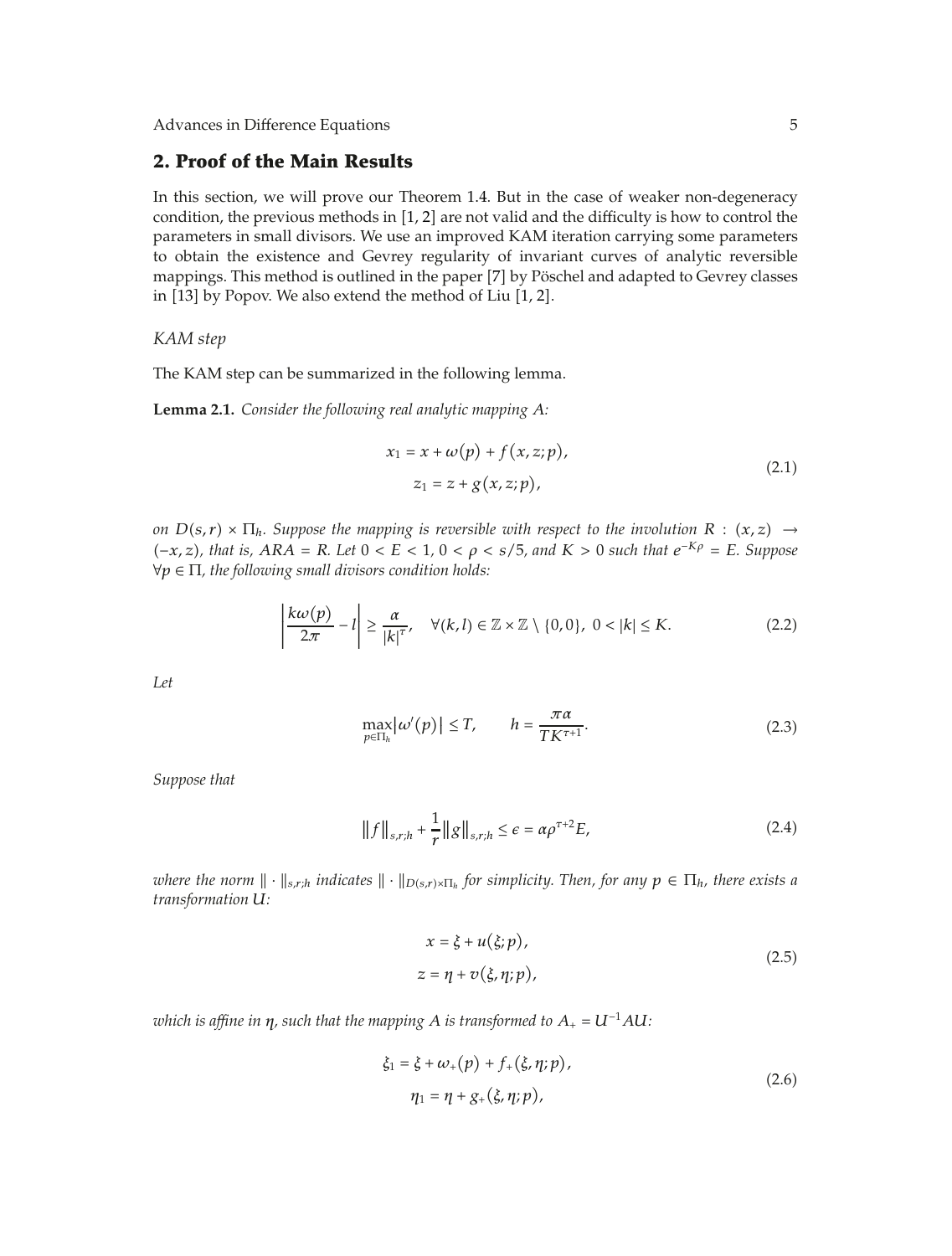## **2. Proof of the Main Results**

In this section, we will prove our Theorem 1.4. But in the case of weaker non-degeneracy condition, the previous methods in  $[1, 2]$  are not valid and the difficulty is how to control the parameters in small divisors. We use an improved KAM iteration carrying some parameters to obtain the existence and Gevrey regularity of invariant curves of analytic reversible mappings. This method is outlined in the paper [7] by Pöschel and adapted to Gevrey classes in  $[13]$  by Popov. We also extend the method of Liu  $[1, 2]$ .

#### *KAM step*

The KAM step can be summarized in the following lemma.

**Lemma 2.1.** *Consider the following real analytic mapping A:*

$$
x_1 = x + \omega(p) + f(x, z; p),
$$
  
\n
$$
z_1 = z + g(x, z; p),
$$
\n(2.1)

*on*  $D(s,r) \times \Pi_h$ *. Suppose the mapping is reversible with respect to the involution*  $R : (x, z) \rightarrow$  $(-x, z)$ *, that is,* ARA = R. Let 0 < E < 1, 0 < ρ < s/5*, and* K > 0 *such that*  $e^{-Kρ} = E$ *. Suppose* ∀*p* ∈ Π*, the following small divisors condition holds:*

$$
\left|\frac{k\omega(p)}{2\pi}-l\right|\geq\frac{\alpha}{|k|^{\tau}},\quad\forall(k,l)\in\mathbb{Z}\times\mathbb{Z}\setminus\{0,0\},\;0<|k|\leq K.\tag{2.2}
$$

*Let*

$$
\max_{p \in \Pi_h} \left| \omega'(p) \right| \le T, \qquad h = \frac{\pi \alpha}{TK^{\tau+1}}.
$$
\n(2.3)

*Suppose that*

$$
||f||_{s,r;h} + \frac{1}{r} ||g||_{s,r;h} \le \epsilon = \alpha \rho^{\tau+2} E,
$$
 (2.4)

*where the norm*  $\|\cdot\|_{s,r,h}$  *indicates*  $\|\cdot\|_{D(s,r)\times\Pi_h}$  *for simplicity. Then, for any*  $p \in \Pi_h$ *, there exists a transformation U:*

$$
x = \xi + u(\xi; p),
$$
  
\n
$$
z = \eta + v(\xi, \eta; p),
$$
\n(2.5)

*which is affine in*  $\eta$ *, such that the mapping A is transformed to*  $A_+ = U^{-1}AU$ *:* 

$$
\xi_1 = \xi + \omega_+(p) + f_+(\xi, \eta; p),
$$
  
\n
$$
\eta_1 = \eta + g_+(\xi, \eta; p),
$$
\n(2.6)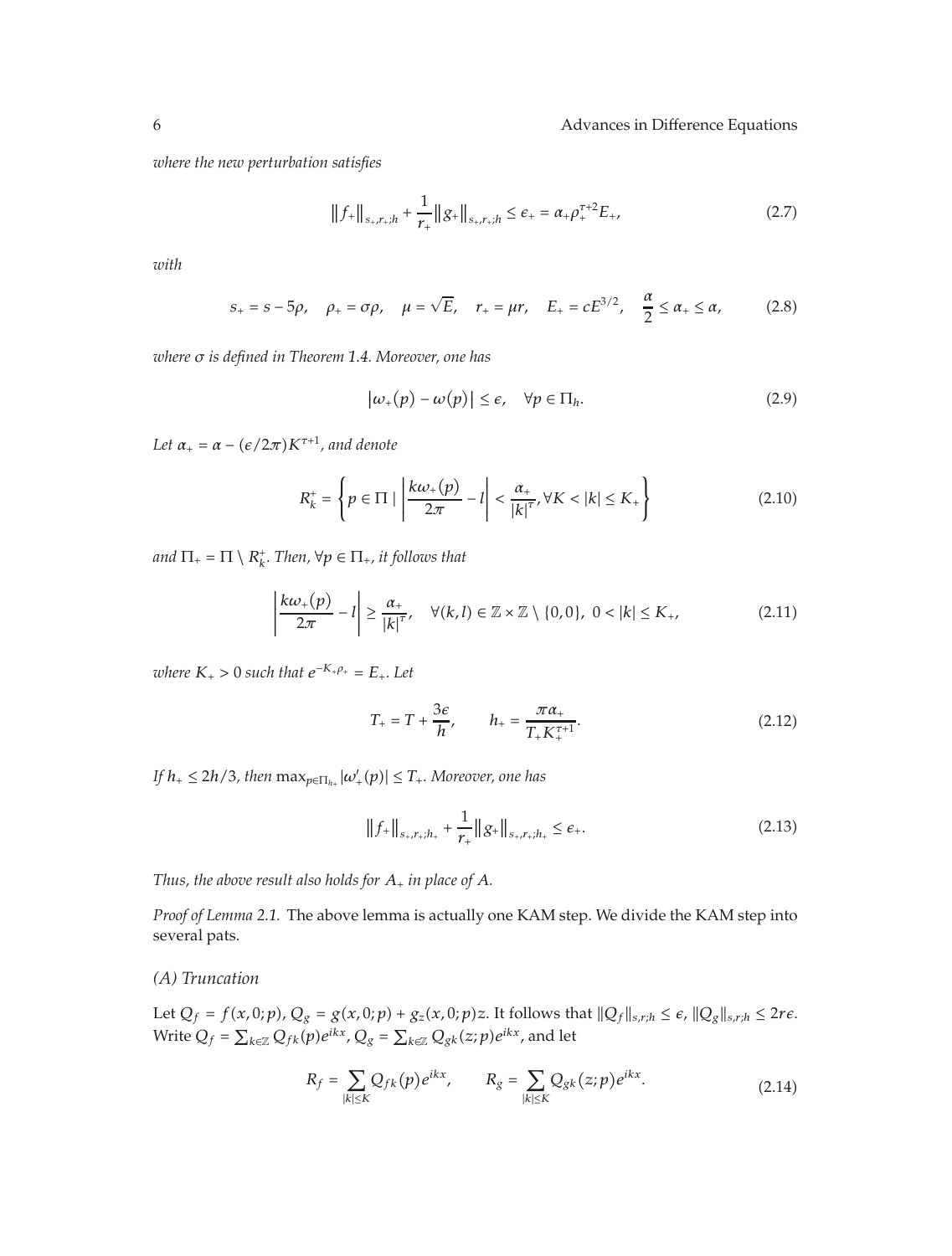*where the new perturbation satisfies*

$$
||f_{+}||_{s_{+},r_{+};h} + \frac{1}{r_{+}}||g_{+}||_{s_{+},r_{+};h} \leq \epsilon_{+} = \alpha_{+}\rho_{+}^{\tau+2}E_{+},
$$
\n(2.7)

*with*

$$
s_{+} = s - 5\rho
$$
,  $\rho_{+} = \sigma\rho$ ,  $\mu = \sqrt{E}$ ,  $r_{+} = \mu r$ ,  $E_{+} = cE^{3/2}$ ,  $\frac{\alpha}{2} \le \alpha_{+} \le \alpha$ , (2.8)

*where σ is defined in Theorem 1.4. Moreover, one has*

$$
|\omega_{+}(p) - \omega(p)| \le \epsilon, \quad \forall p \in \Pi_h.
$$
 (2.9)

Let  $\alpha_+ = \alpha - (e/2\pi)K^{\tau+1}$ , and denote

$$
R_k^+ = \left\{ p \in \Pi \mid \left| \frac{k\omega_+(p)}{2\pi} - l \right| < \frac{\alpha_+}{|k|^{\tau}}, \forall K < |k| \le K_+ \right\} \tag{2.10}
$$

*and*  $\Pi_+ = \Pi \setminus R_k^+$ . Then,  $\forall p \in \Pi_+$ , it follows that

$$
\left|\frac{k\omega_+(p)}{2\pi}-l\right|\geq \frac{\alpha_+}{|k|^{\tau}},\quad \forall (k,l)\in\mathbb{Z}\times\mathbb{Z}\setminus\{0,0\},\;0<|k|\leq K_+, \tag{2.11}
$$

*where*  $K_{+} > 0$  *such that*  $e^{-K_{+}\rho_{+}} = E_{+}$ . Let

$$
T_{+} = T + \frac{3\epsilon}{h}, \qquad h_{+} = \frac{\pi a_{+}}{T_{+} K_{+}^{\tau+1}}.
$$
 (2.12)

 $\int f f h_+ \leq 2h/3$ , then  $\max_{p \in \Pi_{h_+}} |\omega'_+(p)| \leq T_+.$  Moreover, one has

$$
||f_{+}||_{s_{+},r_{+};h_{+}} + \frac{1}{r_{+}}||g_{+}||_{s_{+},r_{+};h_{+}} \leq \epsilon_{+}.
$$
 (2.13)

*Thus, the above result also holds for*  $A_+$  *in place of*  $A$ *.* 

*Proof of Lemma 2.1.* The above lemma is actually one KAM step. We divide the KAM step into several pats.

## *(A) Truncation*

Let  $Q_f = f(x,0;p)$ ,  $Q_g = g(x,0;p) + g_z(x,0;p)z$ . It follows that  $||Q_f||_{s,r;h} \leq \epsilon$ ,  $||Q_g||_{s,r;h} \leq 2r\epsilon$ . Write  $Q_f = \sum_{k \in \mathbb{Z}} Q_{fk}(p) e^{ikx}$ ,  $Q_g = \sum_{k \in \mathbb{Z}} Q_{gk}(z;p) e^{ikx}$ , and let

$$
R_f = \sum_{|k| \le K} Q_{fk}(p) e^{ikx}, \qquad R_g = \sum_{|k| \le K} Q_{gk}(z; p) e^{ikx}.
$$
 (2.14)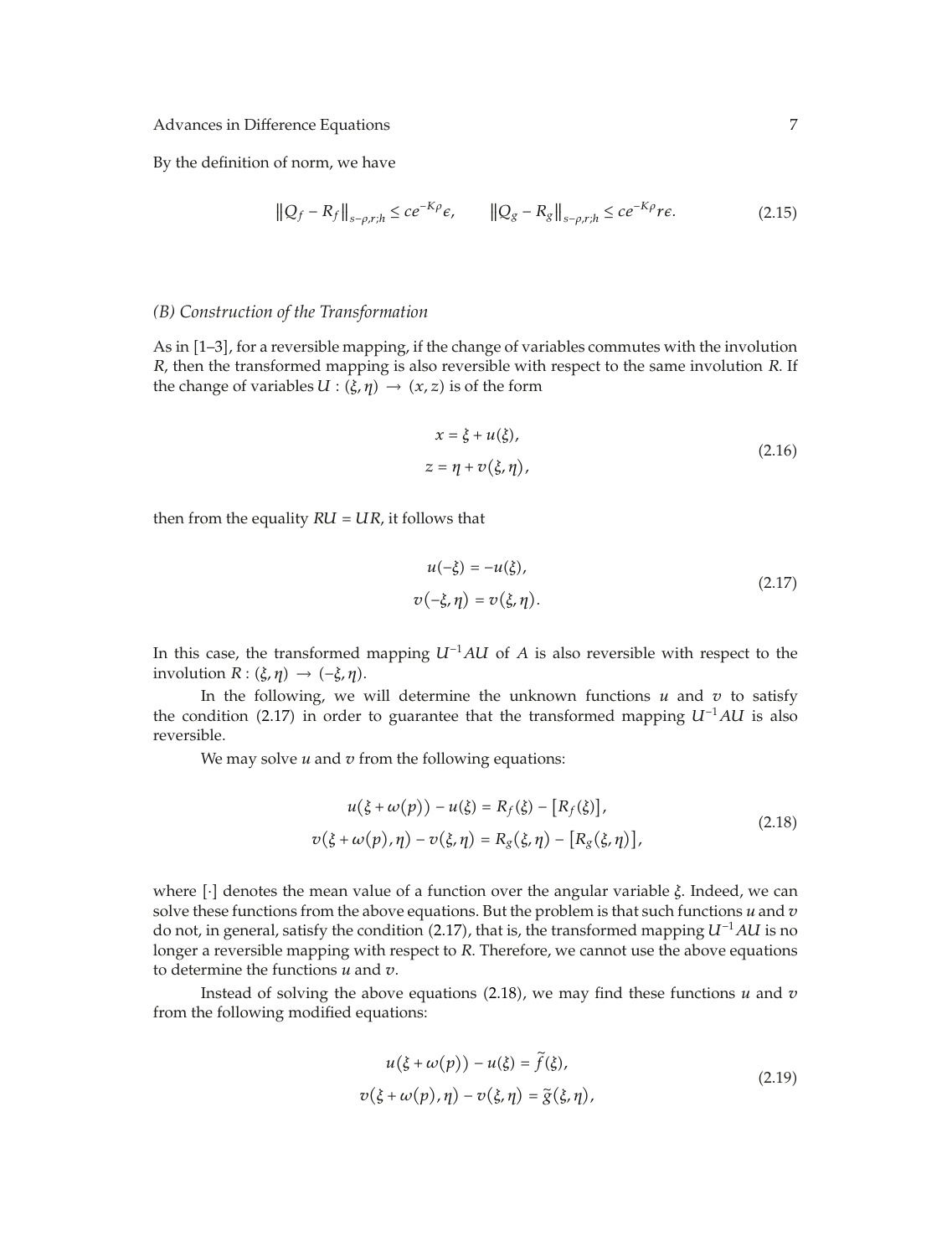By the definition of norm, we have

$$
\|Q_f - R_f\|_{s-\rho,r;h} \le ce^{-K\rho}\epsilon, \qquad \|Q_g - R_g\|_{s-\rho,r;h} \le ce^{-K\rho}r\epsilon. \tag{2.15}
$$

#### *(B) Construction of the Transformation*

As in [1–3], for a reversible mapping, if the change of variables commutes with the involution *R*, then the transformed mapping is also reversible with respect to the same involution *R*. If the change of variables  $U : (\xi, \eta) \to (x, z)$  is of the form

$$
x = \xi + u(\xi),
$$
  
\n
$$
z = \eta + v(\xi, \eta),
$$
\n(2.16)

then from the equality  $RU = UR$ , it follows that

$$
u(-\xi) = -u(\xi),
$$
  
\n
$$
v(-\xi, \eta) = v(\xi, \eta).
$$
\n(2.17)

In this case, the transformed mapping *U*−1*AU* of *A* is also reversible with respect to the involution  $R: (\xi, \eta) \to (-\xi, \eta)$ .

In the following, we will determine the unknown functions  $u$  and  $v$  to satisfy the condition 2.17 in order to guarantee that the transformed mapping *U*−1*AU* is also reversible.

We may solve *u* and *v* from the following equations:

$$
u(\xi + \omega(p)) - u(\xi) = R_f(\xi) - [R_f(\xi)],
$$
  

$$
v(\xi + \omega(p), \eta) - v(\xi, \eta) = R_g(\xi, \eta) - [R_g(\xi, \eta)],
$$
 (2.18)

where [·] denotes the mean value of a function over the angular variable *ξ*. Indeed, we can solve these functions from the above equations. But the problem is that such functions *u* and *v* do not, in general, satisfy the condition 2.17, that is, the transformed mapping *U*−<sup>1</sup>*AU* is no longer a reversible mapping with respect to *R*. Therefore, we cannot use the above equations to determine the functions *u* and *v*.

Instead of solving the above equations  $(2.18)$ , we may find these functions  $u$  and  $v$ from the following modified equations:

$$
u(\xi + \omega(p)) - u(\xi) = \tilde{f}(\xi),
$$
  

$$
v(\xi + \omega(p), \eta) - v(\xi, \eta) = \tilde{g}(\xi, \eta),
$$
 (2.19)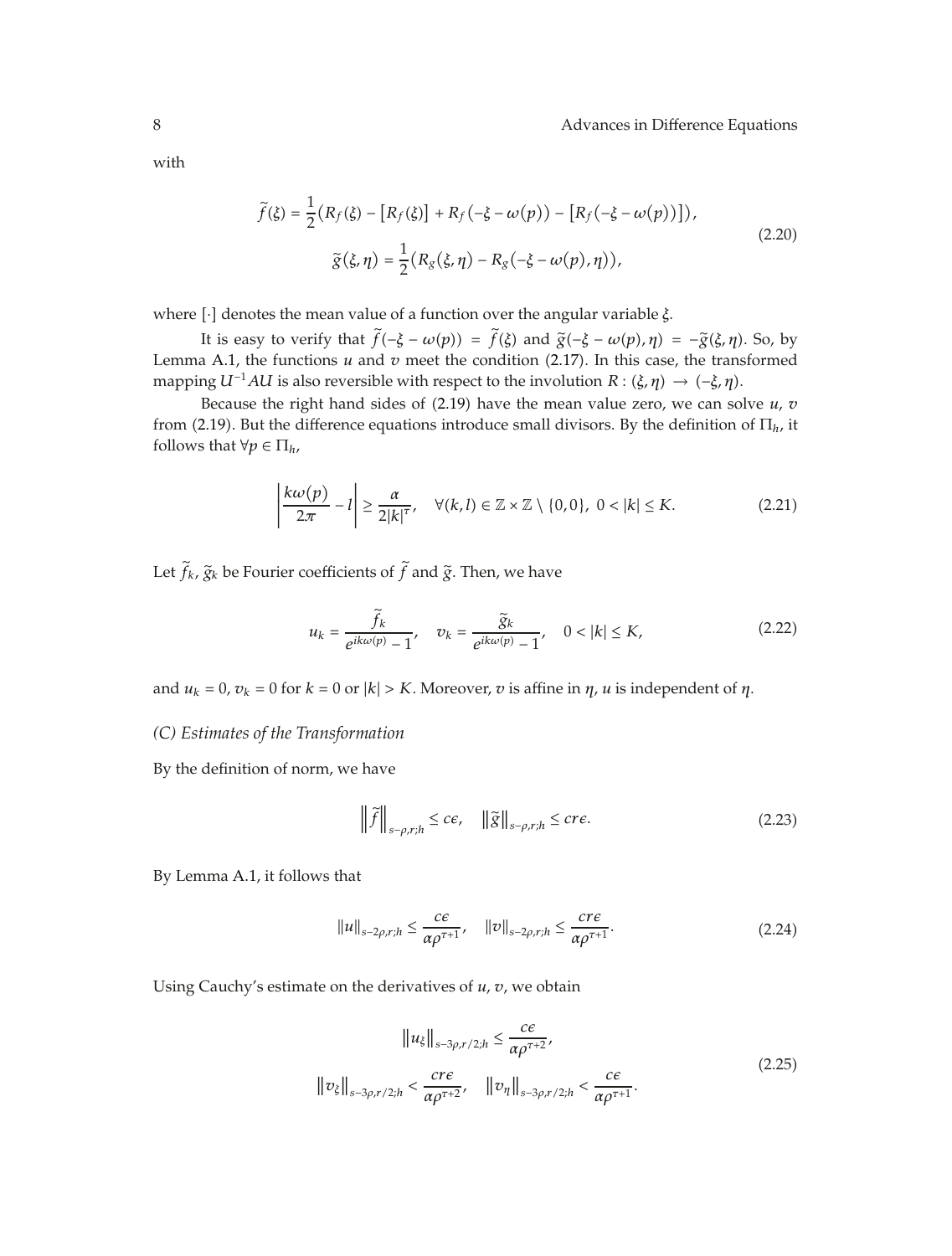with

$$
\widetilde{f}(\xi) = \frac{1}{2} \left( R_f(\xi) - \left[ R_f(\xi) \right] + R_f(-\xi - \omega(p)) - \left[ R_f(-\xi - \omega(p)) \right] \right),
$$
\n
$$
\widetilde{g}(\xi, \eta) = \frac{1}{2} \left( R_g(\xi, \eta) - R_g(-\xi - \omega(p), \eta) \right),
$$
\n(2.20)

where [·] denotes the mean value of a function over the angular variable *ξ*.

It is easy to verify that  $f(-\xi - \omega(p)) = f(\xi)$  and  $\tilde{g}(-\xi - \omega(p), \eta) = -\tilde{g}(\xi, \eta)$ . So, by<br>Lemma A.1, the functions *u* and *v* meet the condition (2.17). In this case, the transformed mapping *U<sup>−1</sup>AU* is also reversible with respect to the involution *R* :  $(\xi, \eta) \rightarrow (-\xi, \eta)$ .

Because the right hand sides of  $(2.19)$  have the mean value zero, we can solve  $u$ ,  $v$ from 2.19. But the difference equations introduce small divisors. By the definition of Π*h*, it follows that  $\forall p \in \Pi_h$ ,

$$
\left|\frac{k\omega(p)}{2\pi}-l\right|\geq\frac{\alpha}{2|k|^{\tau}},\quad\forall(k,l)\in\mathbb{Z}\times\mathbb{Z}\setminus\{0,0\},\;0<|k|\leq K.\tag{2.21}
$$

Let  $f_k$ ,  $\widetilde{g}_k$  be Fourier coefficients of  $f$  and  $\widetilde{g}$ . Then, we have

$$
u_k = \frac{\tilde{f}_k}{e^{ik\omega(p)} - 1}, \quad v_k = \frac{\tilde{g}_k}{e^{ik\omega(p)} - 1}, \quad 0 < |k| \le K,\tag{2.22}
$$

and  $u_k = 0$ ,  $v_k = 0$  for  $k = 0$  or  $|k| > K$ . Moreover, *v* is affine in  $\eta$ , *u* is independent of  $\eta$ .

## *(C) Estimates of the Transformation*

By the definition of norm, we have

$$
\left\|\tilde{f}\right\|_{s-\rho,r;h} \le c\epsilon, \quad \left\|\tilde{g}\right\|_{s-\rho,r;h} \le c\epsilon.
$$

By Lemma A.1, it follows that

$$
||u||_{s-2\rho,r;h} \le \frac{c\varepsilon}{\alpha \rho^{\tau+1}}, \quad ||v||_{s-2\rho,r;h} \le \frac{c r \varepsilon}{\alpha \rho^{\tau+1}}.
$$

Using Cauchy's estimate on the derivatives of *u*, *v*, we obtain

$$
||u_{\xi}||_{s-3\rho,r/2;h} \le \frac{c\varepsilon}{\alpha \rho^{\tau+2}},
$$
  

$$
||v_{\xi}||_{s-3\rho,r/2;h} < \frac{c r \varepsilon}{\alpha \rho^{\tau+2}}, \quad ||v_{\eta}||_{s-3\rho,r/2;h} < \frac{c \varepsilon}{\alpha \rho^{\tau+1}}.
$$
 (2.25)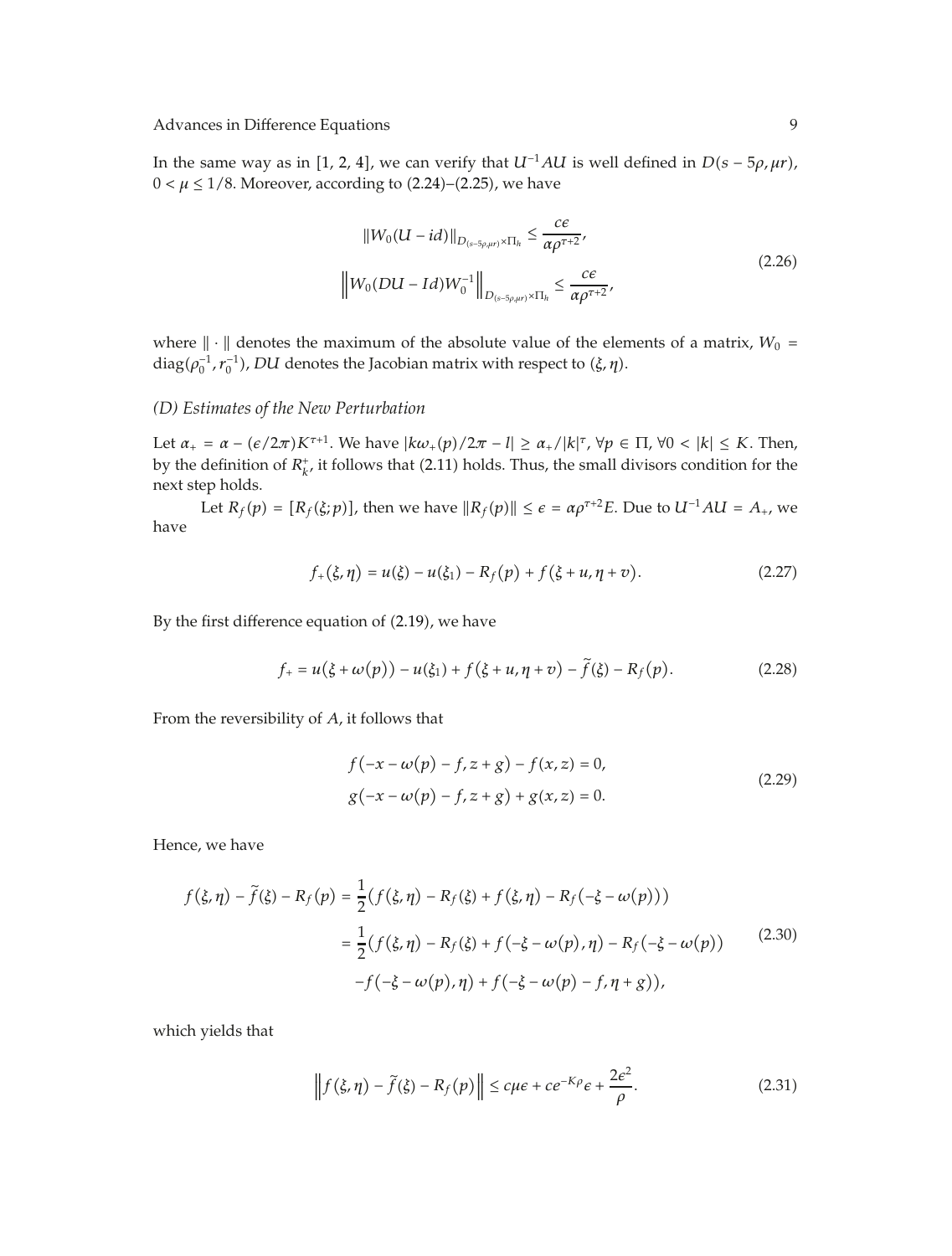In the same way as in [1, 2, 4], we can verify that  $U^{-1}AU$  is well defined in  $D(s - 5\rho, \mu r)$ ,  $0 < \mu \leq 1/8$ . Moreover, according to  $(2.24)$ – $(2.25)$ , we have

$$
||W_0(U - id)||_{D_{(s-5\rho,\mu r)} \times \Pi_h} \le \frac{c\varepsilon}{\alpha \rho^{\tau+2}},
$$
  

$$
||W_0(DU - Id)W_0^{-1}||_{D_{(s-5\rho,\mu r)} \times \Pi_h} \le \frac{c\varepsilon}{\alpha \rho^{\tau+2}},
$$
\n(2.26)

where  $\|\cdot\|$  denotes the maximum of the absolute value of the elements of a matrix,  $W_0 =$  $diag(\rho_0^{-1}, r_0^{-1})$ , *DU* denotes the Jacobian matrix with respect to *(ξ, η)*.

#### *(D) Estimates of the New Perturbation*

Let  $\alpha_+ = \alpha - (e/2\pi)K^{\tau+1}$ . We have  $|k\omega_+(p)/2\pi - l| \ge \alpha_+/|k|^\tau$ ,  $\forall p \in \Pi$ ,  $\forall 0 < |k| \le K$ . Then, by the definition of  $R_k^+$ , it follows that (2.11) holds. Thus, the small divisors condition for the next step holds.

Let  $R_f(p) = [R_f(\xi; p)]$ , then we have  $||R_f(p)|| \leq \epsilon = \alpha \rho^{\tau+2} E$ . Due to  $U^{-1} A U = A_+$ , we have

$$
f_{+}(\xi,\eta) = u(\xi) - u(\xi_{1}) - R_{f}(p) + f(\xi + u, \eta + v).
$$
 (2.27)

By the first difference equation of  $(2.19)$ , we have

$$
f_{+} = u(\xi + \omega(p)) - u(\xi_{1}) + f(\xi + u, \eta + v) - \tilde{f}(\xi) - R_{f}(p). \tag{2.28}
$$

From the reversibility of *A*, it follows that

$$
f(-x - \omega(p) - f, z + g) - f(x, z) = 0,
$$
  
 
$$
g(-x - \omega(p) - f, z + g) + g(x, z) = 0.
$$
 (2.29)

Hence, we have

$$
f(\xi, \eta) - \tilde{f}(\xi) - R_f(p) = \frac{1}{2} (f(\xi, \eta) - R_f(\xi) + f(\xi, \eta) - R_f(-\xi - \omega(p)))
$$
  

$$
= \frac{1}{2} (f(\xi, \eta) - R_f(\xi) + f(-\xi - \omega(p), \eta) - R_f(-\xi - \omega(p))
$$
(2.30)  

$$
-f(-\xi - \omega(p), \eta) + f(-\xi - \omega(p) - f, \eta + g)),
$$

which yields that

$$
\left\| f(\xi, \eta) - \tilde{f}(\xi) - R_f(p) \right\| \le c\mu\varepsilon + c e^{-K\rho}\varepsilon + \frac{2\varepsilon^2}{\rho}.
$$
 (2.31)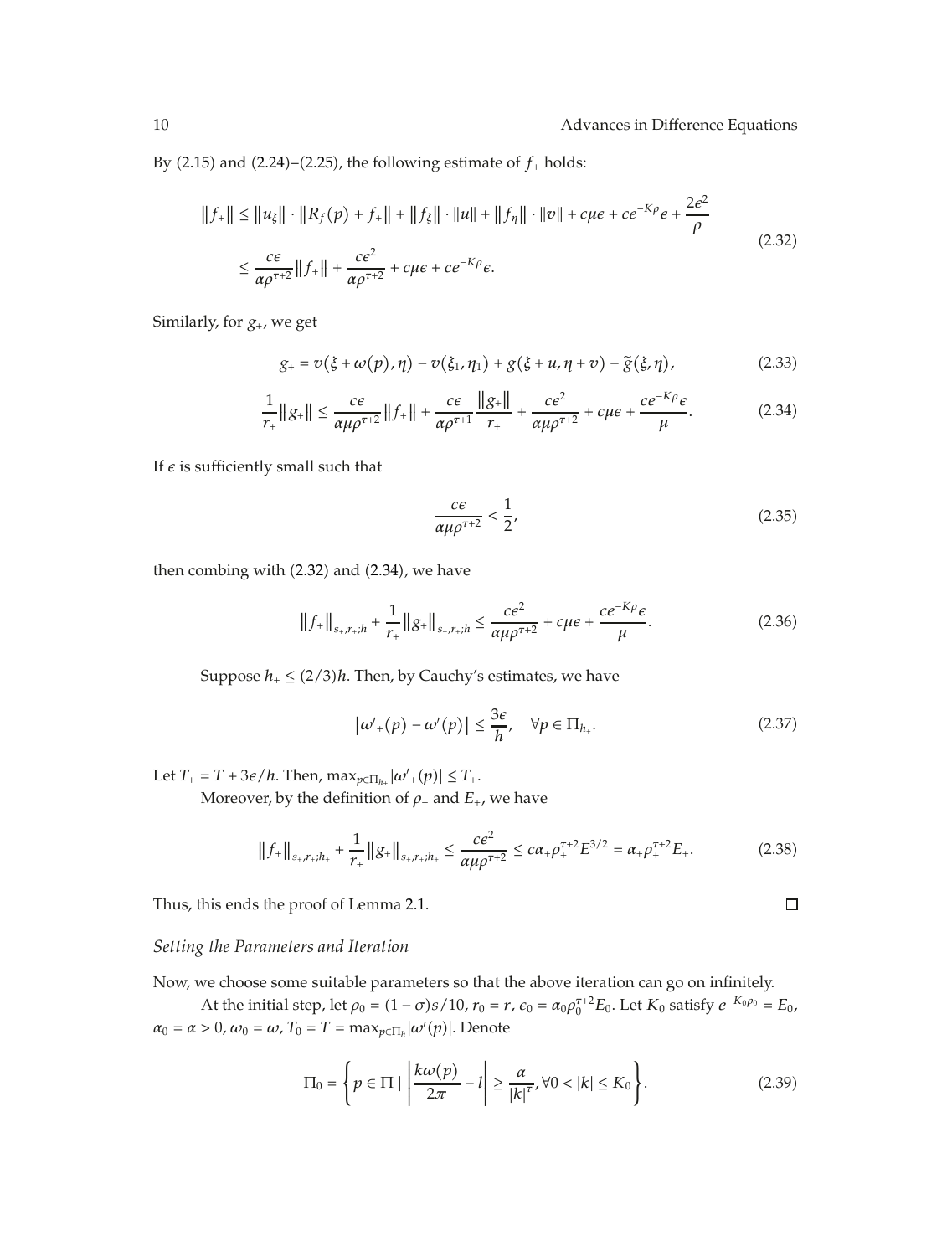By  $(2.15)$  and  $(2.24)$ – $(2.25)$ , the following estimate of  $f<sub>+</sub>$  holds:

$$
||f_{+}|| \le ||u_{\xi}|| \cdot ||R_{f}(p) + f_{+}|| + ||f_{\xi}|| \cdot ||u|| + ||f_{\eta}|| \cdot ||v|| + c\mu\varepsilon + c e^{-K\rho} \varepsilon + \frac{2\varepsilon^{2}}{\rho}
$$
  

$$
\le \frac{c\varepsilon}{\alpha \rho^{\tau+2}} ||f_{+}|| + \frac{c\varepsilon^{2}}{\alpha \rho^{\tau+2}} + c\mu\varepsilon + c e^{-K\rho} \varepsilon.
$$
 (2.32)

Similarly, for  $g_{+}$ , we get

$$
g_{+} = v(\xi + \omega(p), \eta) - v(\xi_{1}, \eta_{1}) + g(\xi + u, \eta + v) - \tilde{g}(\xi, \eta), \qquad (2.33)
$$

$$
\frac{1}{r_+} \|g_+\| \le \frac{c\epsilon}{\alpha \mu \rho^{\tau+2}} \|f_+\| + \frac{c\epsilon}{\alpha \rho^{\tau+1}} \frac{\|g_+\|}{r_+} + \frac{c\epsilon^2}{\alpha \mu \rho^{\tau+2}} + c\mu\epsilon + \frac{c e^{-K\rho} \epsilon}{\mu}.
$$
 (2.34)

If  $\epsilon$  is sufficiently small such that

$$
\frac{c\epsilon}{\alpha\mu\rho^{\tau+2}} < \frac{1}{2},\tag{2.35}
$$

then combing with  $(2.32)$  and  $(2.34)$ , we have

$$
||f_{+}||_{s_{+},r_{+};h} + \frac{1}{r_{+}}||g_{+}||_{s_{+},r_{+};h} \leq \frac{ce^{2}}{\alpha\mu\rho^{\tau+2}} + c\mu\varepsilon + \frac{ce^{-K\rho}\varepsilon}{\mu}.
$$
 (2.36)

Suppose  $h_+ \leq (2/3)h$ . Then, by Cauchy's estimates, we have

$$
|\omega'_{+}(p) - \omega'(p)| \leq \frac{3\epsilon}{h}, \quad \forall p \in \Pi_{h_{+}}.\tag{2.37}
$$

 $\Box$ 

Let  $T_+ = T + 3\epsilon/h$ . Then,  $\max_{p \in \Pi_{h_+}} |\omega'|_+(p)| \leq T_+.$ 

Moreover, by the definition of  $\rho$ <sub>+</sub> and  $E$ <sub>+</sub>, we have

$$
||f_{+}||_{s_{+},r_{+};h_{+}} + \frac{1}{r_{+}}||g_{+}||_{s_{+},r_{+};h_{+}} \leq \frac{ce^{2}}{\alpha\mu\rho^{\tau+2}} \leq c\alpha_{+}\rho_{+}^{\tau+2}E^{3/2} = \alpha_{+}\rho_{+}^{\tau+2}E_{+}.
$$
 (2.38)

Thus, this ends the proof of Lemma 2.1.

*Setting the Parameters and Iteration*

Now, we choose some suitable parameters so that the above iteration can go on infinitely.

At the initial step, let  $\rho_0 = (1 - \sigma)s/10$ ,  $r_0 = r$ ,  $\epsilon_0 = \alpha_0 \rho_0^{\tau+2} E_0$ . Let  $K_0$  satisfy  $e^{-K_0 \rho_0} = E_0$ ,  $\alpha_0 = \alpha > 0$ ,  $\omega_0 = \omega$ ,  $T_0 = T = \max_{p \in \Pi_h} |\omega'(p)|$ . Denote

$$
\Pi_0 = \left\{ p \in \Pi \mid \left| \frac{k\omega(p)}{2\pi} - l \right| \ge \frac{\alpha}{|k|^{\tau}}, \forall 0 < |k| \le K_0 \right\}.\tag{2.39}
$$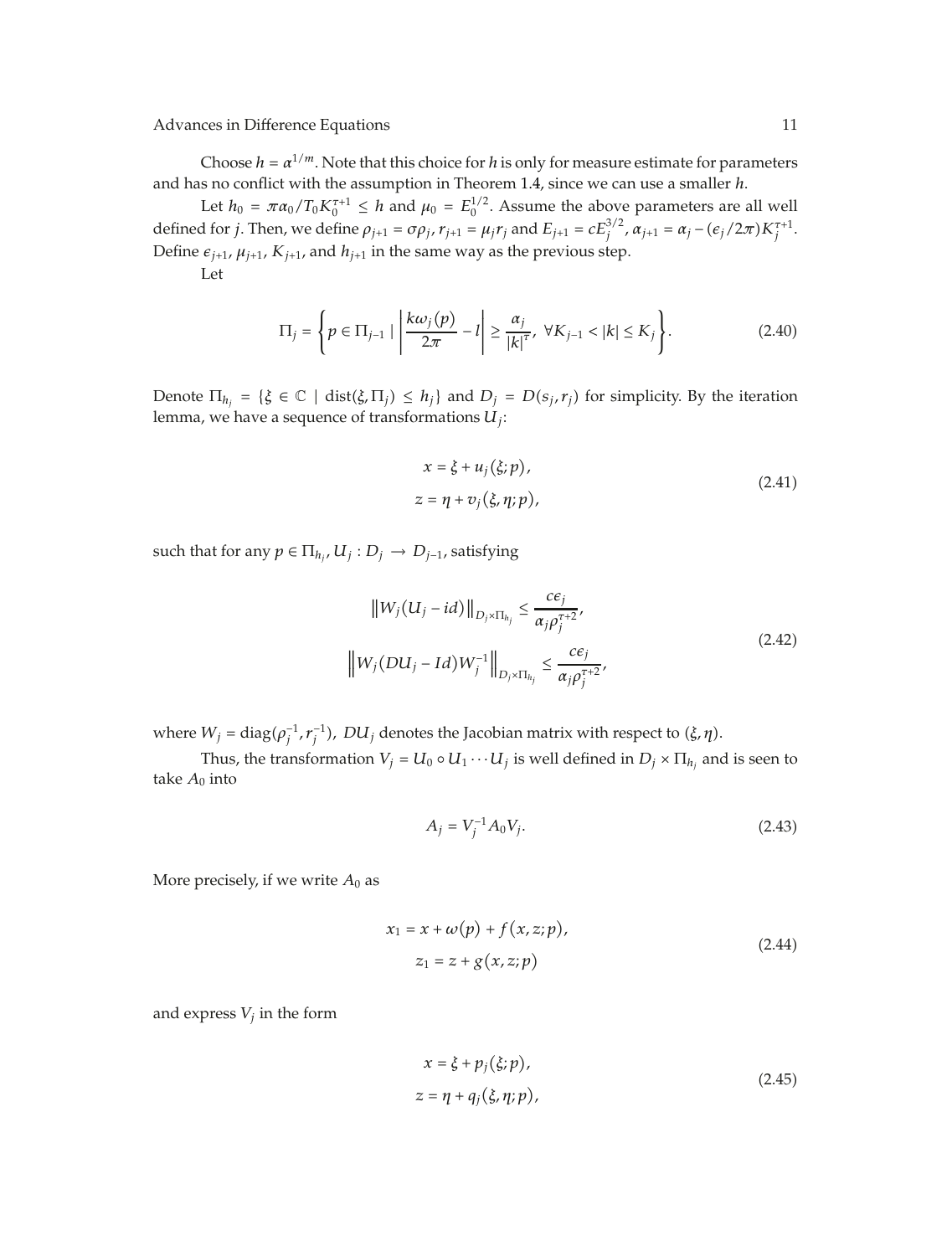Choose  $h = \alpha^{1/m}$ . Note that this choice for *h* is only for measure estimate for parameters and has no conflict with the assumption in Theorem 1.4, since we can use a smaller *h*.

Let  $h_0 = \pi \alpha_0 / T_0 K_0^{\tau+1} \leq h$  and  $\mu_0 = E_0^{1/2}$ . Assume the above parameters are all well defined for *j*. Then, we define  $\rho_{j+1} = \sigma \rho_j$ ,  $r_{j+1} = \mu_j r_j$  and  $E_{j+1} = c E_j^{3/2}$ ,  $\alpha_{j+1} = \alpha_j - (\epsilon_j/2\pi) K_j^{\tau+1}$ . Define  $\varepsilon_{j+1}$ ,  $\mu_{j+1}$ ,  $K_{j+1}$ , and  $h_{j+1}$  in the same way as the previous step.

Let

$$
\Pi_{j} = \left\{ p \in \Pi_{j-1} \mid \left| \frac{k\omega_{j}(p)}{2\pi} - l \right| \ge \frac{\alpha_{j}}{|k|} \cdot \forall K_{j-1} < |k| \le K_{j} \right\}.\tag{2.40}
$$

Denote  $\Pi_{h_j} = \{\xi \in \mathbb{C} \mid \text{dist}(\xi, \Pi_j) \leq h_j\}$  and  $D_j = D(s_j, r_j)$  for simplicity. By the iteration lemma, we have a sequence of transformations *Uj*:

$$
x = \xi + u_j(\xi; p),
$$
  
\n
$$
z = \eta + v_j(\xi, \eta; p),
$$
\n(2.41)

such that for any  $p \in \Pi_{h_i}$ ,  $U_j : D_j \to D_{j-1}$ , satisfying

$$
\|W_j(U_j - id)\|_{D_j \times \Pi_{h_j}} \le \frac{c\varepsilon_j}{\alpha_j \rho_j^{\tau+2}},
$$
  

$$
\|W_j(DU_j - Id)W_j^{-1}\|_{D_j \times \Pi_{h_j}} \le \frac{c\varepsilon_j}{\alpha_j \rho_j^{\tau+2}},
$$
\n(2.42)

where  $W_j = \text{diag}(\rho_j^{-1}, r_j^{-1})$ ,  $DU_j$  denotes the Jacobian matrix with respect to *(ξ, η)*.

Thus, the transformation  $V_j = U_0 \circ U_1 \cdots U_j$  is well defined in  $D_j \times \Pi_{h_j}$  and is seen to take  $A_0$  into

$$
A_j = V_j^{-1} A_0 V_j. \tag{2.43}
$$

More precisely, if we write  $A_0$  as

$$
x_1 = x + \omega(p) + f(x, z; p),
$$
  
\n
$$
z_1 = z + g(x, z; p)
$$
\n(2.44)

and express  $V_i$  in the form

$$
x = \xi + p_j(\xi; p),
$$
  
\n
$$
z = \eta + q_j(\xi, \eta; p),
$$
\n(2.45)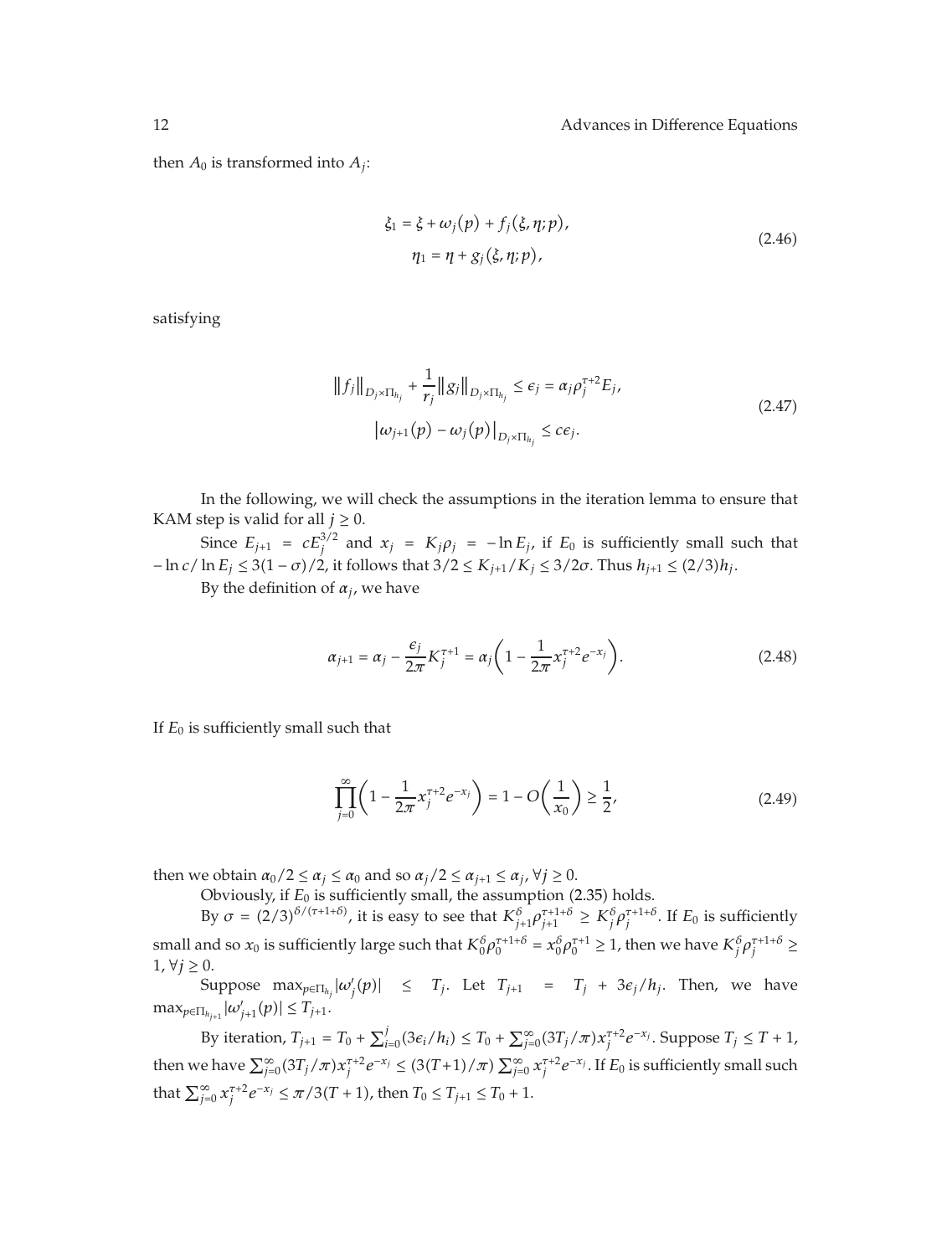then  $A_0$  is transformed into  $A_i$ :

$$
\xi_1 = \xi + \omega_j(p) + f_j(\xi, \eta; p), \n\eta_1 = \eta + g_j(\xi, \eta; p),
$$
\n(2.46)

satisfying

$$
||f_j||_{D_j \times \Pi_{h_j}} + \frac{1}{r_j} ||g_j||_{D_j \times \Pi_{h_j}} \le \epsilon_j = \alpha_j \rho_j^{\tau+2} E_j,
$$
  

$$
|\omega_{j+1}(p) - \omega_j(p)|_{D_j \times \Pi_{h_j}} \le c\epsilon_j.
$$
 (2.47)

In the following, we will check the assumptions in the iteration lemma to ensure that KAM step is valid for all  $j \geq 0$ .

Since  $E_{j+1} = cE_j^{3/2}$  and  $x_j = K_j \rho_j = -\ln E_j$ , if  $E_0$  is sufficiently small such that  $-\ln c/\ln E_j \leq 3(1-\sigma)/2$ , it follows that  $3/2 \leq K_{j+1}/K_j \leq 3/2\sigma$ . Thus  $h_{j+1} \leq (2/3)h_j$ .

By the definition of  $\alpha_i$ , we have

$$
\alpha_{j+1} = \alpha_j - \frac{\epsilon_j}{2\pi} K_j^{\tau+1} = \alpha_j \left( 1 - \frac{1}{2\pi} x_j^{\tau+2} e^{-x_j} \right). \tag{2.48}
$$

If  $E_0$  is sufficiently small such that

$$
\prod_{j=0}^{\infty} \left( 1 - \frac{1}{2\pi} x_j^{\tau+2} e^{-x_j} \right) = 1 - O\left(\frac{1}{x_0}\right) \ge \frac{1}{2},\tag{2.49}
$$

then we obtain  $\alpha_0/2 \le \alpha_j \le \alpha_0$  and so  $\alpha_j/2 \le \alpha_{j+1} \le \alpha_j$ ,  $\forall j \ge 0$ .

Obviously, if  $E_0$  is sufficiently small, the assumption (2.35) holds.

By  $\sigma = (2/3)^{\delta/(\tau+1+\delta)}$ , it is easy to see that  $K_{j+1}^{\delta} \rho_{j+1}^{\tau+1+\delta} \geq K_j^{\delta} \rho_j^{\tau+1+\delta}$ . If  $E_0$  is sufficiently small and so  $x_0$  is sufficiently large such that  $K_0^{\delta} \rho_0^{\tau+1+\delta}=x_0^{\delta} \rho_0^{\tau+1}\geq 1$ , then we have  $K_j^{\delta} \rho_j^{\tau+1+\delta}\geq 1$ 1,  $\forall j \geq 0$ .

Suppose  $\max_{p \in \Pi_{h_j}} |\omega'_j(p)| \leq T_j$ . Let  $T_{j+1} = T_j + 3\epsilon_j/h_j$ . Then, we have  $\max_{p \in \Pi_{h_{j+1}}} |\omega'_{j+1}(p)| \le T_{j+1}.$ 

By iteration,  $T_{j+1} = T_0 + \sum_{i=0}^{j} (3\epsilon_i/h_i) \leq T_0 + \sum_{j=0}^{\infty} (3T_j/\pi) x_j^{\tau+2} e^{-x_j}$ . Suppose  $T_j \leq T + 1$ , then we have  $\sum_{j=0}^{\infty} (3T_j/\pi) x_j^{\tau+2} e^{-x_j} \leq (3(T+1)/\pi) \sum_{j=0}^{\infty} x_j^{\tau+2} e^{-x_j}$ . If  $E_0$  is sufficiently small such that  $\sum_{j=0}^{\infty} x_j^{\tau+2} e^{-x_j} \le \pi/3(T+1)$ , then  $T_0 \le T_{j+1} \le T_0 + 1$ .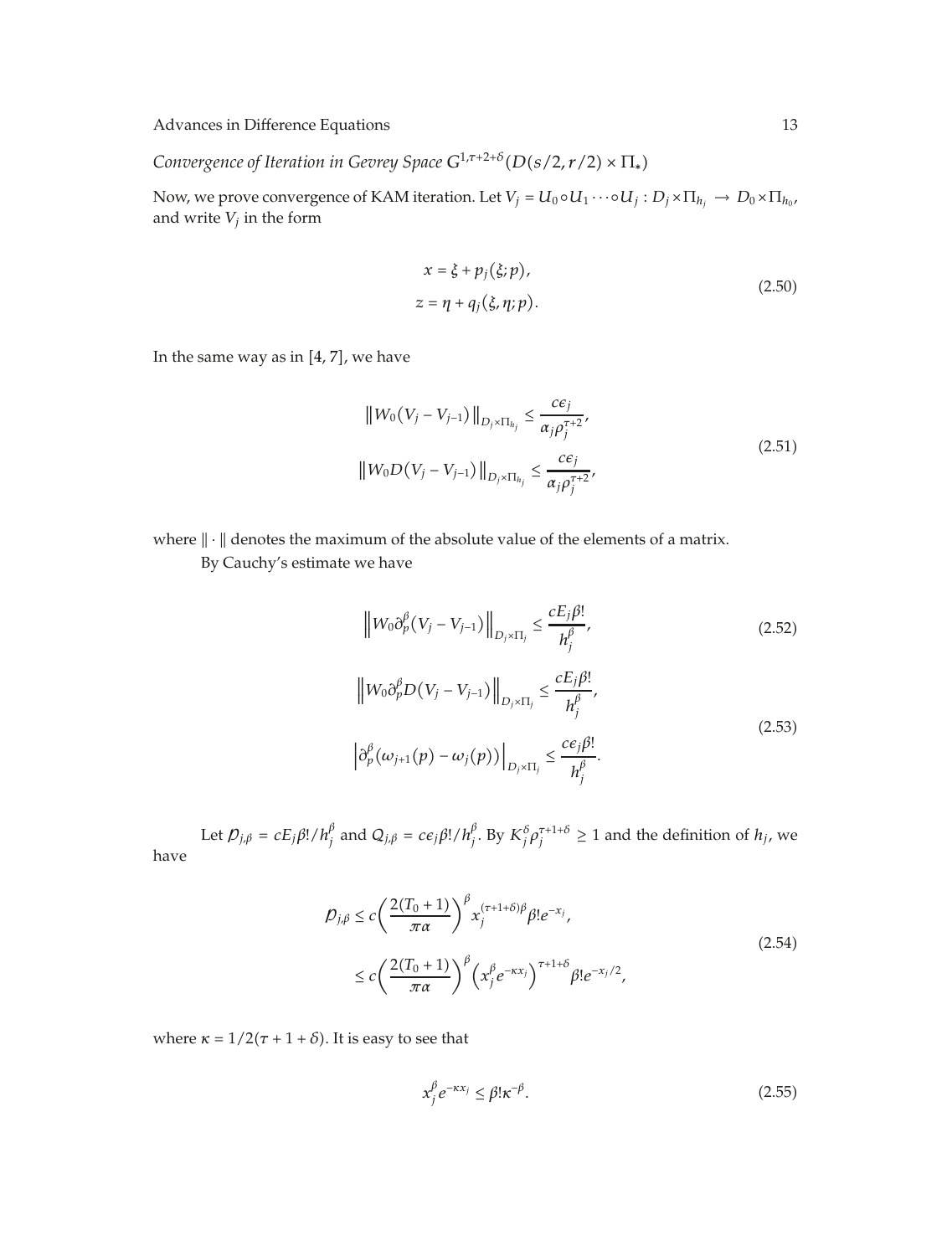*Convergence of Iteration in Gevrey Space*  $G^{1,\tau+2+\delta}(D(s/2,r/2) \times \Pi_*)$ 

Now, we prove convergence of KAM iteration. Let  $V_j = U_0 \circ U_1 \cdots \circ U_j : D_j \times \Pi_{h_j} \to D_0 \times \Pi_{h_0}$ , and write  $V_j$  in the form

$$
x = \xi + p_j(\xi; p),
$$
  
\n
$$
z = \eta + q_j(\xi, \eta; p).
$$
\n(2.50)

In the same way as in  $[4, 7]$ , we have

$$
||W_0(V_j - V_{j-1})||_{D_j \times \Pi_{h_j}} \le \frac{c\varepsilon_j}{\alpha_j \rho_j^{\tau+2}},
$$
  
\n
$$
||W_0 D(V_j - V_{j-1})||_{D_j \times \Pi_{h_j}} \le \frac{c\varepsilon_j}{\alpha_j \rho_j^{\tau+2}},
$$
\n(2.51)

where  $\|\cdot\|$  denotes the maximum of the absolute value of the elements of a matrix.

By Cauchy's estimate we have

$$
\|W_0 \partial_p^{\beta} (V_j - V_{j-1})\|_{D_j \times \Pi_j} \le \frac{c E_j \beta!}{h_j^{\beta}},
$$
\n
$$
\|W_0 \partial_p^{\beta} D (V_j - V_{j-1})\|_{D_j \times \Pi_j} \le \frac{c E_j \beta!}{h_j^{\beta}},
$$
\n
$$
\left| \partial_p^{\beta} (\omega_{j+1}(p) - \omega_j(p)) \right|_{D_j \times \Pi_j} \le \frac{c \epsilon_j \beta!}{h_j^{\beta}}.
$$
\n(2.53)

Let  $\mathcal{D}_{j,\beta} = cE_j\beta!/h/\hat{h}_j^{\beta}$  and  $Q_{j,\beta} = ce_j\beta!/h/\hat{h}_j^{\beta}$ . By  $K_j^{\delta}\rho_j^{\tau+1+\delta} \ge 1$  and the definition of  $h_j$ , we have

$$
\mathcal{D}_{j,\beta} \le c \left( \frac{2(T_0+1)}{\pi \alpha} \right)^{\beta} x_j^{(\tau+1+\delta)\beta} \beta! e^{-x_j},
$$
\n
$$
\le c \left( \frac{2(T_0+1)}{\pi \alpha} \right)^{\beta} \left( x_j^{\beta} e^{-\kappa x_j} \right)^{\tau+1+\delta} \beta! e^{-x_j/2},
$$
\n(2.54)

where  $\kappa = 1/2(\tau + 1 + \delta)$ . It is easy to see that

$$
x_j^{\beta} e^{-\kappa x_j} \le \beta! \kappa^{-\beta}.
$$
\n(2.55)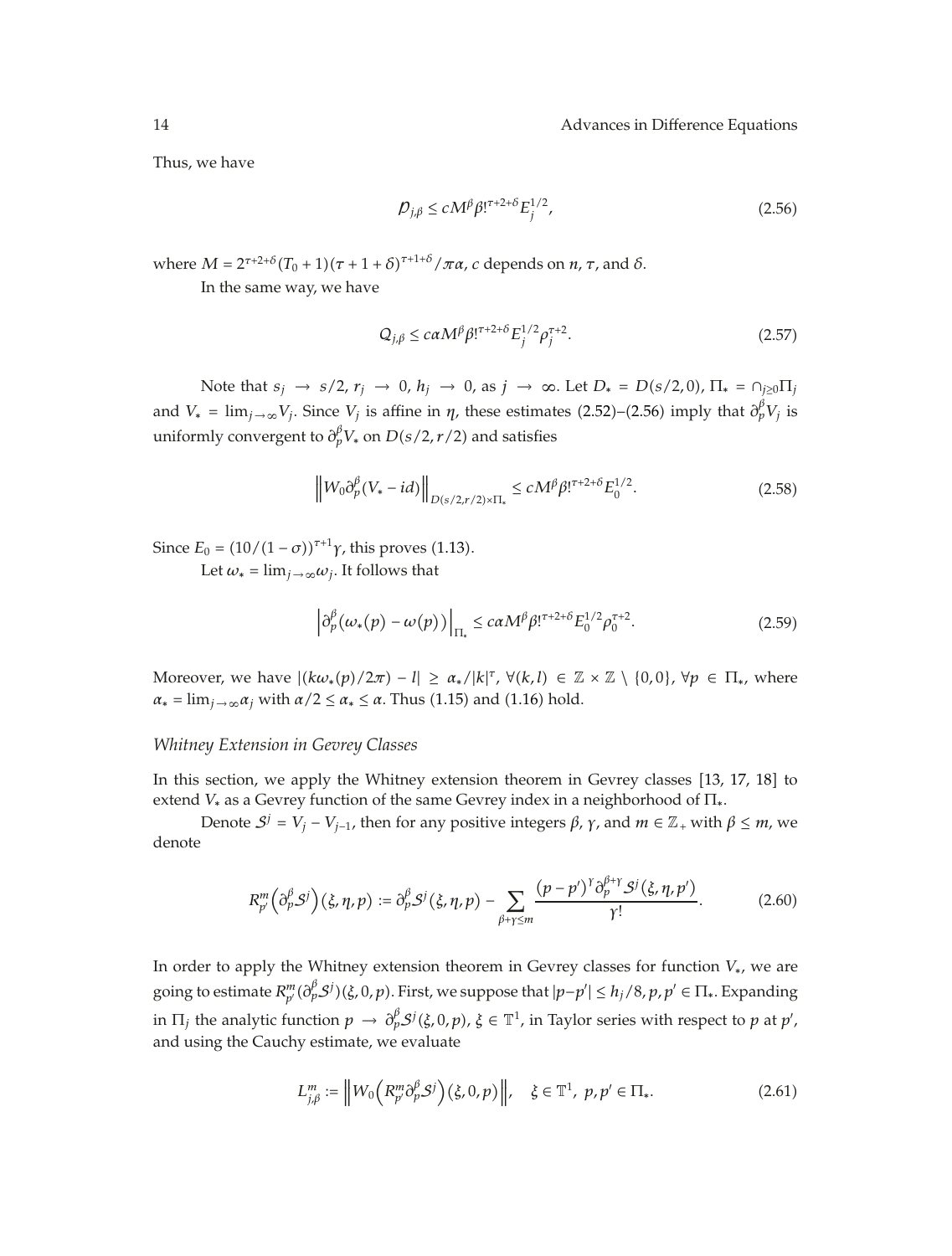Thus, we have

$$
\mathcal{D}_{j,\beta} \le c M^{\beta} \beta!^{\tau+2+\delta} E_j^{1/2},\tag{2.56}
$$

where  $M = 2^{\tau+2+\delta}(T_0+1)(\tau+1+\delta)^{\tau+1+\delta}/\pi\alpha$ , *c* depends on  $n$ ,  $\tau$ , and  $\delta$ .

In the same way, we have

$$
Q_{j,\beta} \le c\alpha M^{\beta} \beta!^{\tau+2+\delta} E_j^{1/2} \rho_j^{\tau+2}.
$$
 (2.57)

Note that  $s_j \rightarrow s/2$ ,  $r_j \rightarrow 0$ ,  $h_j \rightarrow 0$ , as  $j \rightarrow \infty$ . Let  $D_* = D(s/2, 0)$ ,  $\Pi_* = \bigcap_{j \geq 0} \Pi_j$ and  $V_* = \lim_{j \to \infty} V_j$ . Since  $V_j$  is affine in  $\eta$ , these estimates (2.52)–(2.56) imply that  $\partial_p^{\beta} V_j$  is uniformly convergent to  $\partial_p^{\beta} V_*$  on  $D(s/2, r/2)$  and satisfies

$$
\left\|W_0 \partial_p^{\beta} (V_* - id) \right\|_{D(s/2, r/2) \times \Pi_*} \le c M^{\beta} \beta!^{r+2+\delta} E_0^{1/2}.
$$
 (2.58)

Since  $E_0 = (10/(1 - \sigma))^{\tau+1} \gamma$ , this proves (1.13). Let  $\omega_* = \lim_{i \to \infty} \omega_i$ . It follows that

$$
\left|\partial_p^{\beta}(\omega_*(p) - \omega(p))\right|_{\Pi_*} \leq c\alpha M^{\beta} \beta!^{\tau+2+\delta} E_0^{1/2} \rho_0^{\tau+2}.
$$
 (2.59)

Moreover, we have  $|(k\omega_*(p)/2\pi) - l| \ge \alpha_*/|k|^{\tau}$ ,  $\forall (k,l) \in \mathbb{Z} \times \mathbb{Z} \setminus \{0,0\}$ ,  $\forall p \in \Pi_*,$  where  $\alpha_* = \lim_{j \to \infty} \alpha_j$  with  $\alpha/2 \leq \alpha_* \leq \alpha$ . Thus (1.15) and (1.16) hold.

#### *Whitney Extension in Gevrey Classes*

In this section, we apply the Whitney extension theorem in Gevrey classes [13, 17, 18] to extend *V*<sup>∗</sup> as a Gevrey function of the same Gevrey index in a neighborhood of Π∗.

Denote  $S^j = V_j - V_{j-1}$ , then for any positive integers  $\beta$ ,  $\gamma$ , and  $m \in \mathbb{Z}_+$  with  $\beta \leq m$ , we denote

$$
R_{p'}^m\left(\partial_p^{\beta}S^j\right)\left(\xi,\eta,p\right) := \partial_p^{\beta}S^j\left(\xi,\eta,p\right) - \sum_{\beta+\gamma\leq m} \frac{\left(p-p'\right)^{\gamma}\partial_p^{\beta+\gamma}S^j\left(\xi,\eta,p'\right)}{\gamma!}.\tag{2.60}
$$

In order to apply the Whitney extension theorem in Gevrey classes for function *V*∗, we are going to estimate  $R_{p'}^m(\partial_p^{\beta}S^j)(\xi,0,p)$ . First, we suppose that  $|p-p'|\leq h_j/8$ ,  $p,p'\in\Pi_*$ . Expanding in  $\Pi_j$  the analytic function  $p \to \partial_p^{\beta} \mathcal{S}^j(\xi,0,p)$ ,  $\xi \in \mathbb{T}^1$ , in Taylor series with respect to  $p$  at  $p'$ , and using the Cauchy estimate, we evaluate

$$
L_{j,\beta}^m := \left\| W_0\left( R_{p'}^m \partial_p^{\beta} \mathcal{S}^j \right) (\xi, 0, p) \right\|, \quad \xi \in \mathbb{T}^1, \ p, p' \in \Pi_*. \tag{2.61}
$$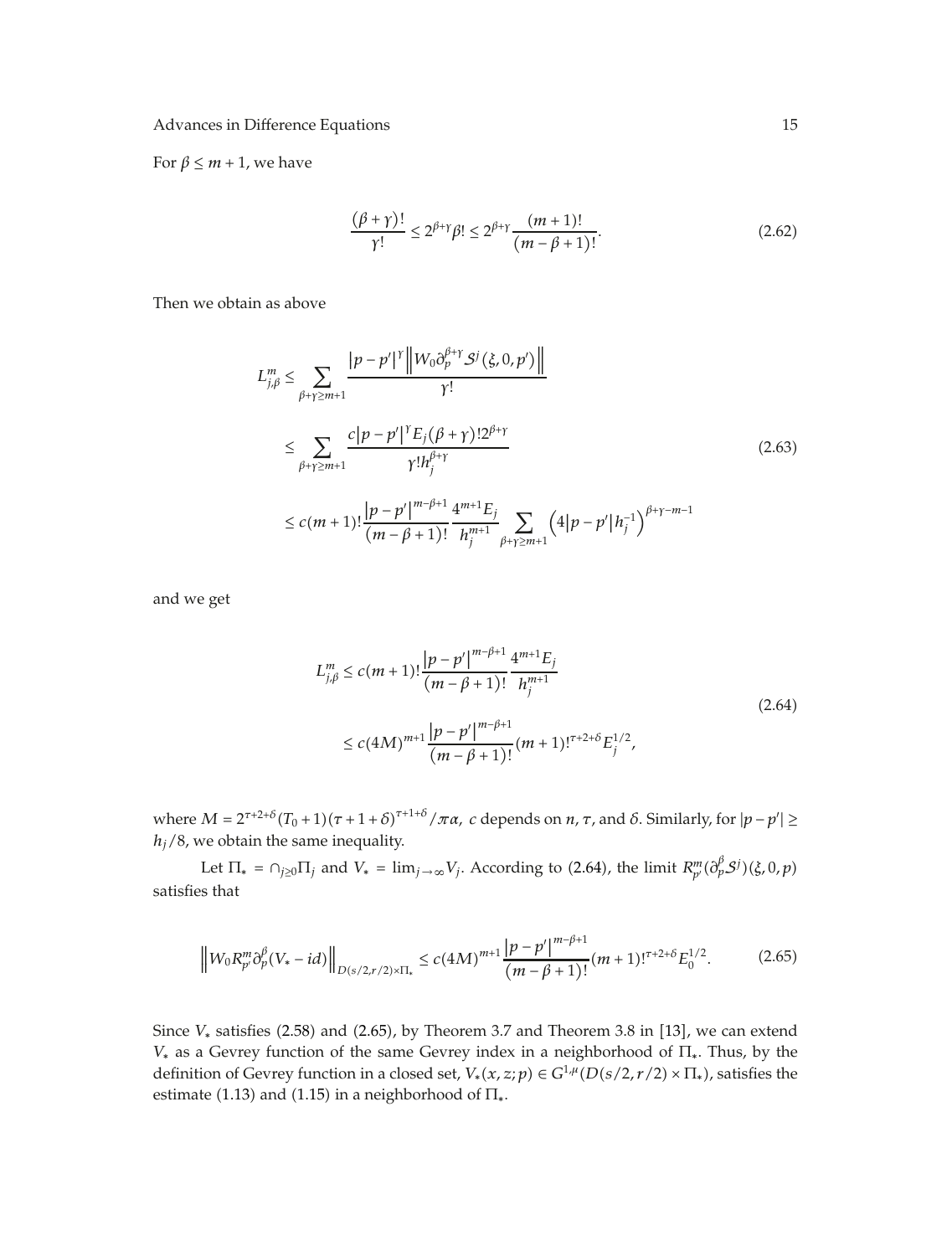For  $\beta \leq m + 1$ , we have

$$
\frac{(\beta + \gamma)!}{\gamma!} \le 2^{\beta + \gamma} \beta! \le 2^{\beta + \gamma} \frac{(m+1)!}{(m - \beta + 1)!}.
$$
 (2.62)

Then we obtain as above

$$
L_{j,\beta}^{m} \leq \sum_{\beta+\gamma \geq m+1} \frac{|p-p'|^{\gamma} \left\| W_{0} \partial_{p}^{\beta+\gamma} S^{j}(\xi, 0, p') \right\|}{\gamma!} \n\leq \sum_{\beta+\gamma \geq m+1} \frac{c|p-p'|^{\gamma} E_{j}(\beta+\gamma) 2^{\beta+\gamma}}{\gamma! h_{j}^{\beta+\gamma}} \n\leq c(m+1)! \frac{|p-p'|^{m-\beta+1}}{(m-\beta+1)!} \frac{4^{m+1} E_{j}}{h_{j}^{m+1}} \sum_{\beta+\gamma \geq m+1} \left( 4|p-p'|h_{j}^{-1} \right)^{\beta+\gamma-m-1}
$$
\n(2.63)

and we get

$$
L_{j,\beta}^{m} \le c(m+1)! \frac{|p-p'|^{m-\beta+1}}{(m-\beta+1)!} \frac{4^{m+1}E_j}{h_j^{m+1}}
$$
  
\n
$$
\le c(4M)^{m+1} \frac{|p-p'|^{m-\beta+1}}{(m-\beta+1)!} (m+1)!^{\tau+2+\delta} E_j^{1/2},
$$
\n(2.64)

where  $M = 2^{\tau+2+\delta}(T_0+1)(\tau+1+\delta)^{\tau+1+\delta}/\pi\alpha$ , *c* depends on *n*, *τ*, and *δ*. Similarly, for  $|p-p'| \ge$ *hj/*8, we obtain the same inequality.

Let  $\Pi_* = \bigcap_{j \geq 0} \Pi_j$  and  $V_* = \lim_{j \to \infty} V_j$ . According to (2.64), the limit  $R_{p'}^m(\partial_p^{\beta} S^j)(\xi, 0, p)$ satisfies that

$$
\left\|W_0 R_p^m \partial_p^{\beta} (V_* - id) \right\|_{D(s/2, r/2) \times \Pi_*} \le c (4M)^{m+1} \frac{|p-p'|^{m-\beta+1}}{(m-\beta+1)!} (m+1)!^{r+2+\delta} E_0^{1/2}.
$$
 (2.65)

Since  $V_*$  satisfies (2.58) and (2.65), by Theorem 3.7 and Theorem 3.8 in [13], we can extend *V*<sup>∗</sup> as a Gevrey function of the same Gevrey index in a neighborhood of Π∗. Thus, by the definition of Gevrey function in a closed set,  $V_*(x, z; p) \in G^{1,\mu}(D(s/2, r/2) \times \Pi_*)$ , satisfies the estimate (1.13) and (1.15) in a neighborhood of  $\Pi_*$ .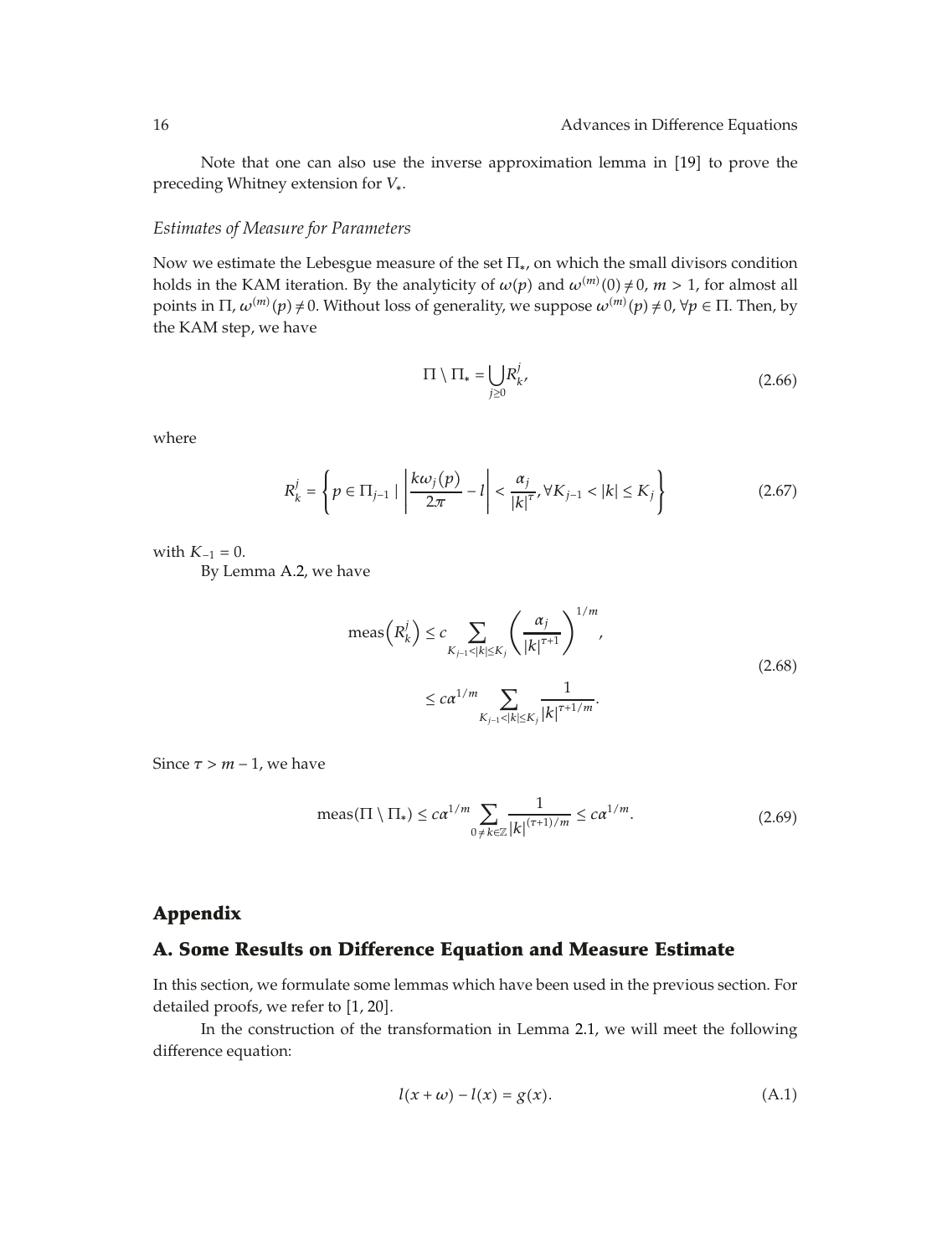Note that one can also use the inverse approximation lemma in [19] to prove the preceding Whitney extension for *V*∗.

#### *Estimates of Measure for Parameters*

Now we estimate the Lebesgue measure of the set  $\Pi_{*}$ , on which the small divisors condition holds in the KAM iteration. By the analyticity of  $\omega(p)$  and  $\omega^{(m)}(0) \neq 0$ ,  $m > 1$ , for almost all points in  $\Pi$ ,  $\omega^{(m)}(p) \neq 0$ . Without loss of generality, we suppose  $\omega^{(m)}(p) \neq 0$ ,  $\forall p \in \Pi$ . Then, by the KAM step, we have

$$
\Pi \setminus \Pi_* = \bigcup_{j \ge 0} R^j_{k'} \tag{2.66}
$$

where

$$
R_k^j = \left\{ p \in \Pi_{j-1} \mid \left| \frac{k\omega_j(p)}{2\pi} - l \right| < \frac{\alpha_j}{|k|^{\tau}}, \forall K_{j-1} < |k| \le K_j \right\} \tag{2.67}
$$

with  $K_{-1} = 0$ .

By Lemma A.2, we have

$$
\text{meas}\left(R_k^j\right) \le c \sum_{K_{j-1} < |k| \le K_j} \left(\frac{\alpha_j}{|k|^{\tau+1}}\right)^{1/m},
$$
\n
$$
\le c\alpha^{1/m} \sum_{K_{j-1} < |k| \le K_j} \frac{1}{|k|^{\tau+1/m}}.
$$
\n(2.68)

Since  $\tau > m - 1$ , we have

$$
\text{meas}(\Pi \setminus \Pi_*) \le c\alpha^{1/m} \sum_{0 \neq k \in \mathbb{Z}} \frac{1}{|k|^{(\tau+1)/m}} \le c\alpha^{1/m}.\tag{2.69}
$$

## **Appendix**

## **A. Some Results on Difference Equation and Measure Estimate**

In this section, we formulate some lemmas which have been used in the previous section. For detailed proofs, we refer to  $[1, 20]$ .

In the construction of the transformation in Lemma 2.1, we will meet the following difference equation:

$$
l(x + \omega) - l(x) = g(x). \tag{A.1}
$$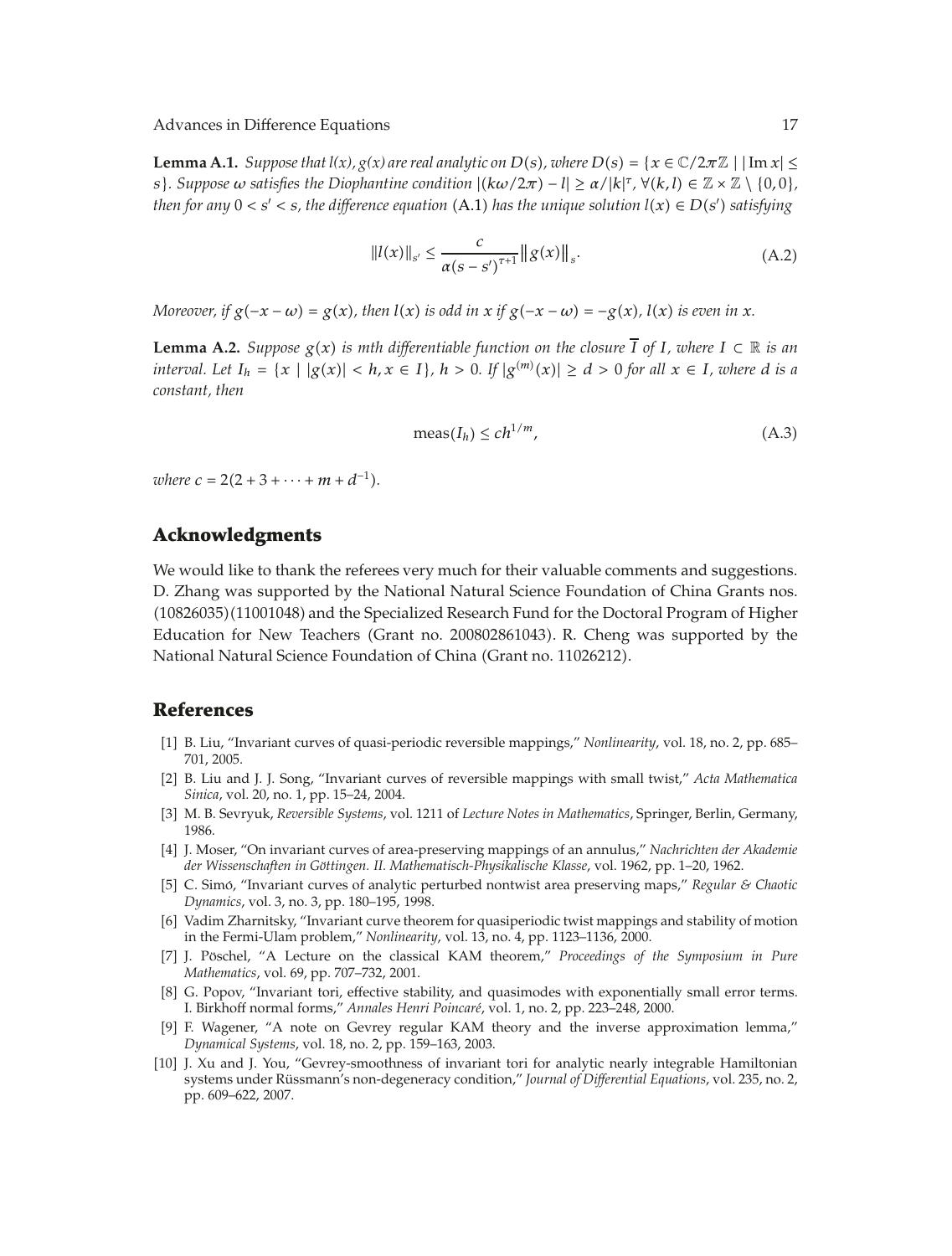**Lemma A.1.** *Suppose that l(x), g(x) are real analytic on D(s), where D(s) = {* $x \in \mathbb{C}/2\pi\mathbb{Z}$  *| |Im*  $x$ *|*  $\le$ *s*}. Suppose  $\omega$  satisfies the Diophantine condition  $|(k\omega/2\pi) - l| \ge \alpha/|k|^\tau$ ,  $\forall (k,l) \in \mathbb{Z} \times \mathbb{Z} \setminus \{0,0\}$ , *then for any*  $0 < s' < s$ *, the difference equation*  $(A.1)$  *has the unique solution*  $l(x) \in D(s')$  *satisfying* 

$$
||l(x)||_{s'} \leq \frac{c}{\alpha(s-s')^{\tau+1}} ||g(x)||_s.
$$
 (A.2)

Moreover, if  $g(-x - \omega) = g(x)$ , then  $l(x)$  is odd in x if  $g(-x - \omega) = -g(x)$ ,  $l(x)$  is even in x.

**Lemma A.2.** *Suppose*  $g(x)$  *is mth differentiable function on the closure*  $\overline{I}$  *of I, where*  $I$  ⊂  $\mathbb R$  *is an* interval. Let  $I_h = \{x \mid |g(x)| < h, x \in I\}$ ,  $h > 0$ . If  $|g^{(m)}(x)| \ge d > 0$  for all  $x \in I$ , where d is a *constant, then*

$$
\text{meas}(I_h) \le c h^{1/m},\tag{A.3}
$$

*where*  $c = 2(2 + 3 + \cdots + m + d^{-1})$ .

## **Acknowledgments**

We would like to thank the referees very much for their valuable comments and suggestions. D. Zhang was supported by the National Natural Science Foundation of China Grants nos. 1082603511001048 and the Specialized Research Fund for the Doctoral Program of Higher Education for New Teachers Grant no. 200802861043. R. Cheng was supported by the National Natural Science Foundation of China (Grant no. 11026212).

## **References**

- 1 B. Liu, "Invariant curves of quasi-periodic reversible mappings," *Nonlinearity*, vol. 18, no. 2, pp. 685– 701, 2005.
- 2 B. Liu and J. J. Song, "Invariant curves of reversible mappings with small twist," *Acta Mathematica Sinica*, vol. 20, no. 1, pp. 15–24, 2004.
- 3 M. B. Sevryuk, *Reversible Systems*, vol. 1211 of *Lecture Notes in Mathematics*, Springer, Berlin, Germany, 1986.
- 4 J. Moser, "On invariant curves of area-preserving mappings of an annulus," *Nachrichten der Akademie der Wissenschaften in Göttingen. II. Mathematisch-Physikalische Klasse, vol. 1962, pp. 1–20, 1962.*
- [5] C. Simó, "Invariant curves of analytic perturbed nontwist area preserving maps," *Regular & Chaotic Dynamics*, vol. 3, no. 3, pp. 180–195, 1998.
- [6] Vadim Zharnitsky, "Invariant curve theorem for quasiperiodic twist mappings and stability of motion in the Fermi-Ulam problem," *Nonlinearity*, vol. 13, no. 4, pp. 1123–1136, 2000.
- [7] J. Pöschel, "A Lecture on the classical KAM theorem," Proceedings of the Symposium in Pure *Mathematics*, vol. 69, pp. 707–732, 2001.
- [8] G. Popov, "Invariant tori, effective stability, and quasimodes with exponentially small error terms. I. Birkhoff normal forms," *Annales Henri Poincare´*, vol. 1, no. 2, pp. 223–248, 2000.
- [9] F. Wagener, "A note on Gevrey regular KAM theory and the inverse approximation lemma," *Dynamical Systems*, vol. 18, no. 2, pp. 159–163, 2003.
- [10] J. Xu and J. You, "Gevrey-smoothness of invariant tori for analytic nearly integrable Hamiltonian systems under Rüssmann's non-degeneracy condition," *Journal of Differential Equations*, vol. 235, no. 2, pp. 609–622, 2007.